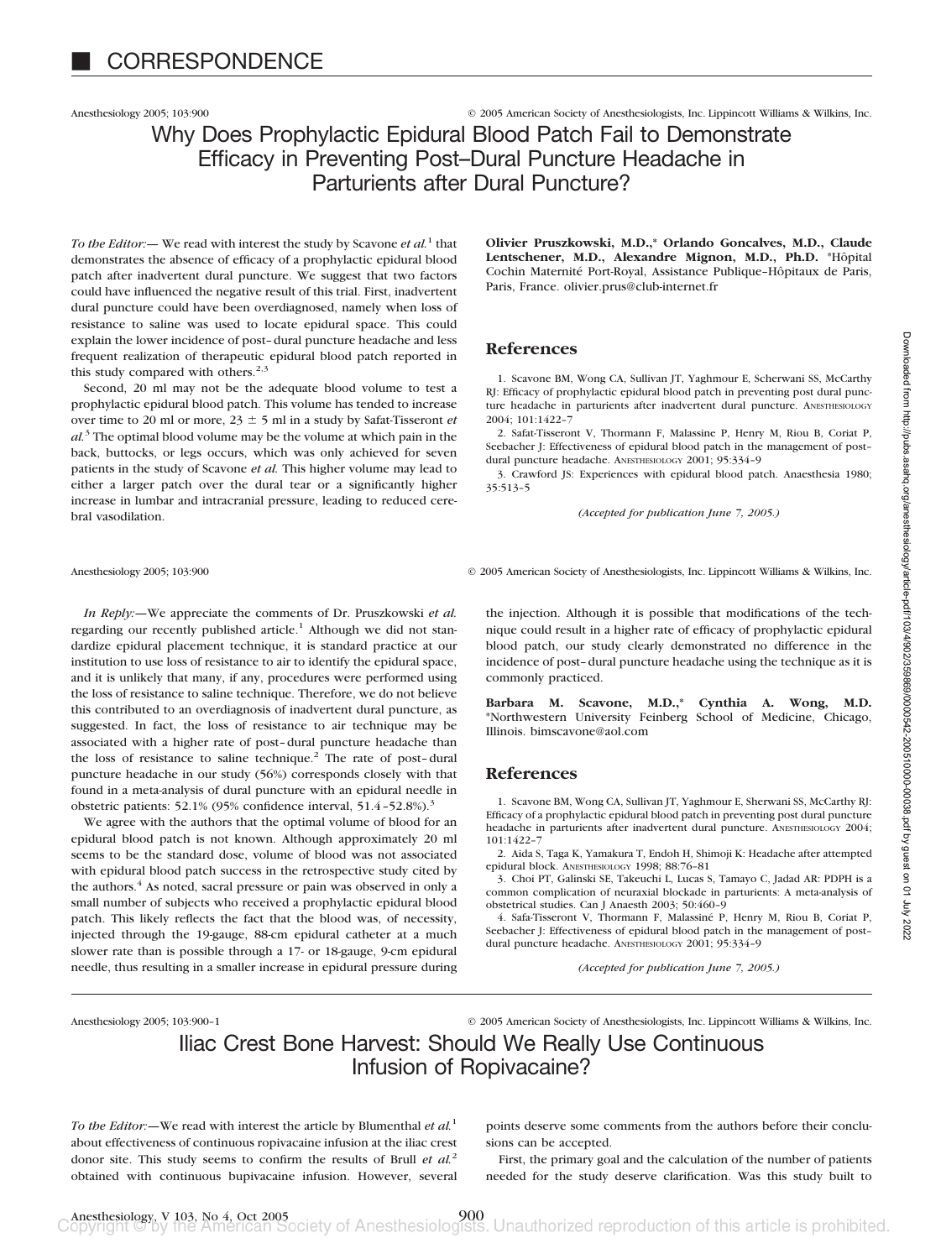Anesthesiology 2005; 103:900 © 2005 American Society of Anesthesiologists, Inc. Lippincott Williams & Wilkins, Inc.

## Why Does Prophylactic Epidural Blood Patch Fail to Demonstrate Efficacy in Preventing Post–Dural Puncture Headache in Parturients after Dural Puncture?

*To the Editor:—* We read with interest the study by Scavone *et al.*<sup>1</sup> that demonstrates the absence of efficacy of a prophylactic epidural blood patch after inadvertent dural puncture. We suggest that two factors could have influenced the negative result of this trial. First, inadvertent dural puncture could have been overdiagnosed, namely when loss of resistance to saline was used to locate epidural space. This could explain the lower incidence of post– dural puncture headache and less frequent realization of therapeutic epidural blood patch reported in this study compared with others. $2,3$ 

Second, 20 ml may not be the adequate blood volume to test a prophylactic epidural blood patch. This volume has tended to increase over time to 20 ml or more,  $23 \pm 5$  ml in a study by Safat-Tisseront *et al.*<sup>3</sup> The optimal blood volume may be the volume at which pain in the back, buttocks, or legs occurs, which was only achieved for seven patients in the study of Scavone *et al.* This higher volume may lead to either a larger patch over the dural tear or a significantly higher increase in lumbar and intracranial pressure, leading to reduced cerebral vasodilation.

*In Reply:—*We appreciate the comments of Dr. Pruszkowski *et al.* regarding our recently published article.<sup>1</sup> Although we did not standardize epidural placement technique, it is standard practice at our institution to use loss of resistance to air to identify the epidural space, and it is unlikely that many, if any, procedures were performed using the loss of resistance to saline technique. Therefore, we do not believe this contributed to an overdiagnosis of inadvertent dural puncture, as suggested. In fact, the loss of resistance to air technique may be associated with a higher rate of post– dural puncture headache than the loss of resistance to saline technique.<sup>2</sup> The rate of post-dural puncture headache in our study (56%) corresponds closely with that found in a meta-analysis of dural puncture with an epidural needle in obstetric patients: 52.1% (95% confidence interval, 51.4 –52.8%).3

We agree with the authors that the optimal volume of blood for an epidural blood patch is not known. Although approximately 20 ml seems to be the standard dose, volume of blood was not associated with epidural blood patch success in the retrospective study cited by the authors.<sup>4</sup> As noted, sacral pressure or pain was observed in only a small number of subjects who received a prophylactic epidural blood patch. This likely reflects the fact that the blood was, of necessity, injected through the 19-gauge, 88-cm epidural catheter at a much slower rate than is possible through a 17- or 18-gauge, 9-cm epidural needle, thus resulting in a smaller increase in epidural pressure during

**Olivier Pruszkowski, M.D.,\* Orlando Goncalves, M.D., Claude** Lentschener, M.D., Alexandre Mignon, M.D., Ph.D. \*Hôpital Cochin Maternité Port-Royal, Assistance Publique-Hôpitaux de Paris, Paris, France. olivier.prus@club-internet.fr

#### **References**

1. Scavone BM, Wong CA, Sullivan JT, Yaghmour E, Scherwani SS, McCarthy RJ: Efficacy of prophylactic epidural blood patch in preventing post dural puncture headache in parturients after inadvertent dural puncture. ANESTHESIOLOGY 2004; 101:1422–7

2. Safat-Tisseront V, Thormann F, Malassine P, Henry M, Riou B, Coriat P, Seebacher J: Effectiveness of epidural blood patch in the management of post– dural puncture headache. ANESTHESIOLOGY 2001; 95:334–9

3. Crawford JS: Experiences with epidural blood patch. Anaesthesia 1980; 35:513–5

*(Accepted for publication June 7, 2005.)*

Anesthesiology 2005; 103:900 <sup>©</sup> 2005 American Society of Anesthesiologists, Inc. Lippincott Williams & Wilkins, Inc.

the injection. Although it is possible that modifications of the technique could result in a higher rate of efficacy of prophylactic epidural blood patch, our study clearly demonstrated no difference in the incidence of post– dural puncture headache using the technique as it is commonly practiced.

**Barbara M. Scavone, M.D.,\* Cynthia A. Wong, M.D.** \*Northwestern University Feinberg School of Medicine, Chicago, Illinois. bimscavone@aol.com

### **References**

1. Scavone BM, Wong CA, Sullivan JT, Yaghmour E, Sherwani SS, McCarthy RJ: Efficacy of a prophylactic epidural blood patch in preventing post dural puncture headache in parturients after inadvertent dural puncture. ANESTHESIOLOGY 2004; 101:1422–7

2. Aida S, Taga K, Yamakura T, Endoh H, Shimoji K: Headache after attempted epidural block. ANESTHESIOLOGY 1998; 88:76–81

3. Choi PT, Galinski SE, Takeuchi L, Lucas S, Tamayo C, Jadad AR: PDPH is a common complication of neuraxial blockade in parturients: A meta-analysis of obstetrical studies. Can J Anaesth 2003; 50:460–9

4. Safa-Tisseront V, Thormann F, Malassiné P, Henry M, Riou B, Coriat P, Seebacher J: Effectiveness of epidural blood patch in the management of post– dural puncture headache. ANESTHESIOLOGY 2001; 95:334–9

*(Accepted for publication June 7, 2005.)*

Anesthesiology 2005; 103:900–1 © 2005 American Society of Anesthesiologists, Inc. Lippincott Williams & Wilkins, Inc. Iliac Crest Bone Harvest: Should We Really Use Continuous Infusion of Ropivacaine?

*To the Editor:—*We read with interest the article by Blumenthal *et al.*<sup>1</sup> about effectiveness of continuous ropivacaine infusion at the iliac crest donor site. This study seems to confirm the results of Brull *et al.*<sup>2</sup> obtained with continuous bupivacaine infusion. However, several

points deserve some comments from the authors before their conclusions can be accepted.

First, the primary goal and the calculation of the number of patients needed for the study deserve clarification. Was this study built to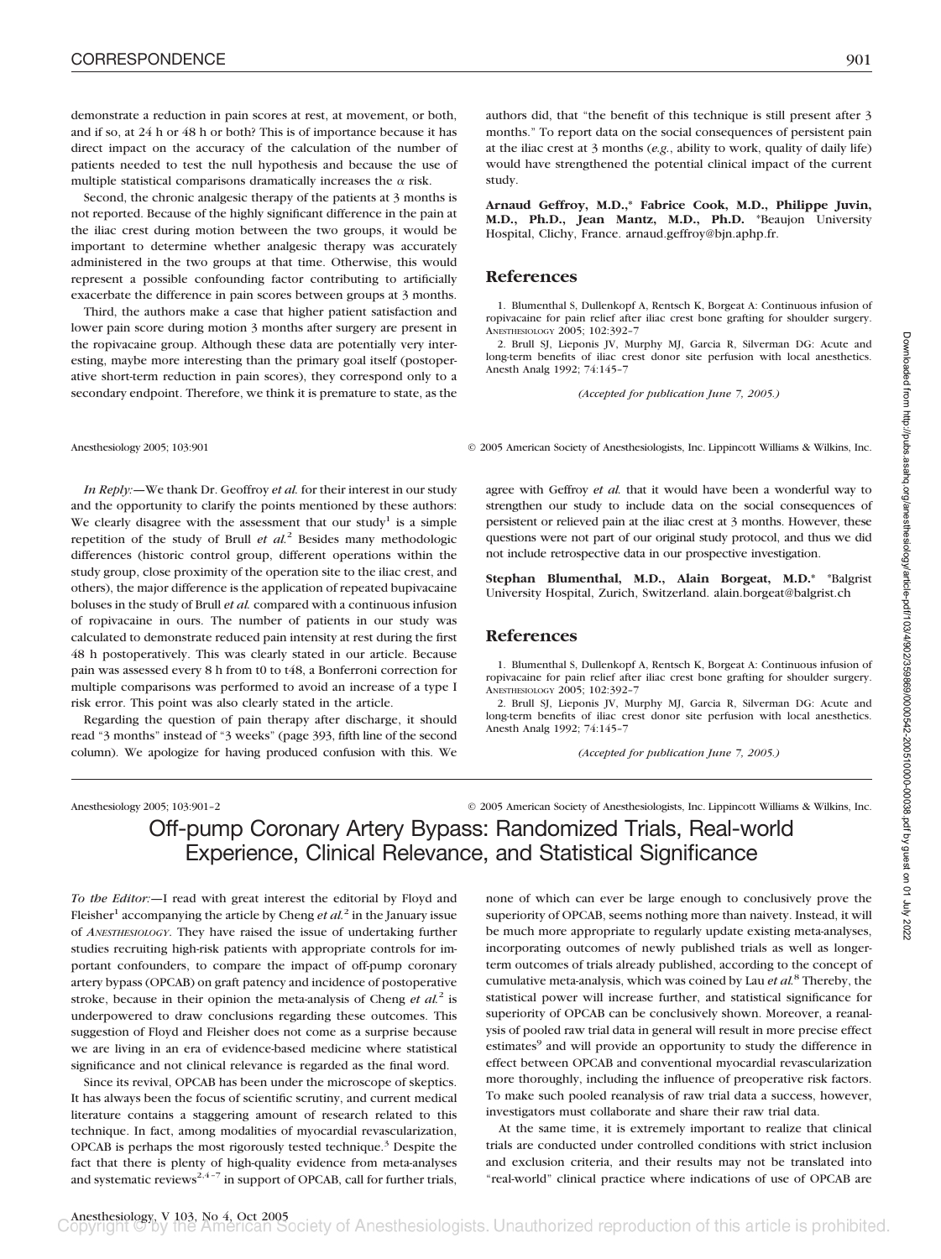demonstrate a reduction in pain scores at rest, at movement, or both, and if so, at 24 h or 48 h or both? This is of importance because it has direct impact on the accuracy of the calculation of the number of patients needed to test the null hypothesis and because the use of multiple statistical comparisons dramatically increases the  $\alpha$  risk.

Second, the chronic analgesic therapy of the patients at 3 months is not reported. Because of the highly significant difference in the pain at the iliac crest during motion between the two groups, it would be important to determine whether analgesic therapy was accurately administered in the two groups at that time. Otherwise, this would represent a possible confounding factor contributing to artificially exacerbate the difference in pain scores between groups at 3 months.

Third, the authors make a case that higher patient satisfaction and lower pain score during motion 3 months after surgery are present in the ropivacaine group. Although these data are potentially very interesting, maybe more interesting than the primary goal itself (postoperative short-term reduction in pain scores), they correspond only to a secondary endpoint. Therefore, we think it is premature to state, as the

*In Reply:—*We thank Dr. Geoffroy *et al.* for their interest in our study and the opportunity to clarify the points mentioned by these authors: We clearly disagree with the assessment that our study<sup>1</sup> is a simple repetition of the study of Brull *et al.*<sup>2</sup> Besides many methodologic differences (historic control group, different operations within the study group, close proximity of the operation site to the iliac crest, and others), the major difference is the application of repeated bupivacaine boluses in the study of Brull *et al.* compared with a continuous infusion of ropivacaine in ours. The number of patients in our study was calculated to demonstrate reduced pain intensity at rest during the first 48 h postoperatively. This was clearly stated in our article. Because pain was assessed every 8 h from t0 to t48, a Bonferroni correction for multiple comparisons was performed to avoid an increase of a type I risk error. This point was also clearly stated in the article.

Regarding the question of pain therapy after discharge, it should read "3 months" instead of "3 weeks" (page 393, fifth line of the second column). We apologize for having produced confusion with this. We

Anesthesiology 2005; 103:901–2 © 2005 American Society of Anesthesiologists, Inc. Lippincott Williams & Wilkins, Inc.

## Off-pump Coronary Artery Bypass: Randomized Trials, Real-world Experience, Clinical Relevance, and Statistical Significance

*To the Editor:—*I read with great interest the editorial by Floyd and Fleisher<sup>1</sup> accompanying the article by Cheng *et al.*<sup>2</sup> in the January issue of *ANESTHESIOLOGY*. They have raised the issue of undertaking further studies recruiting high-risk patients with appropriate controls for important confounders, to compare the impact of off-pump coronary artery bypass (OPCAB) on graft patency and incidence of postoperative stroke, because in their opinion the meta-analysis of Cheng *et al.*<sup>2</sup> is underpowered to draw conclusions regarding these outcomes. This suggestion of Floyd and Fleisher does not come as a surprise because we are living in an era of evidence-based medicine where statistical significance and not clinical relevance is regarded as the final word.

Since its revival, OPCAB has been under the microscope of skeptics. It has always been the focus of scientific scrutiny, and current medical literature contains a staggering amount of research related to this technique. In fact, among modalities of myocardial revascularization, OPCAB is perhaps the most rigorously tested technique.3 Despite the fact that there is plenty of high-quality evidence from meta-analyses and systematic reviews<sup>2,4-7</sup> in support of OPCAB, call for further trials, none of which can ever be large enough to conclusively prove the superiority of OPCAB, seems nothing more than naivety. Instead, it will be much more appropriate to regularly update existing meta-analyses, incorporating outcomes of newly published trials as well as longerterm outcomes of trials already published, according to the concept of cumulative meta-analysis, which was coined by Lau *et al.*<sup>8</sup> Thereby, the statistical power will increase further, and statistical significance for superiority of OPCAB can be conclusively shown. Moreover, a reanalysis of pooled raw trial data in general will result in more precise effect estimates<sup>9</sup> and will provide an opportunity to study the difference in effect between OPCAB and conventional myocardial revascularization more thoroughly, including the influence of preoperative risk factors. To make such pooled reanalysis of raw trial data a success, however, investigators must collaborate and share their raw trial data.

At the same time, it is extremely important to realize that clinical trials are conducted under controlled conditions with strict inclusion and exclusion criteria, and their results may not be translated into "real-world" clinical practice where indications of use of OPCAB are

authors did, that "the benefit of this technique is still present after 3 months." To report data on the social consequences of persistent pain at the iliac crest at 3 months (*e.g.*, ability to work, quality of daily life) would have strengthened the potential clinical impact of the current study.

**Arnaud Geffroy, M.D.,\* Fabrice Cook, M.D., Philippe Juvin, M.D., Ph.D., Jean Mantz, M.D., Ph.D.** \*Beaujon University Hospital, Clichy, France. arnaud.geffroy@bjn.aphp.fr.

#### **References**

1. Blumenthal S, Dullenkopf A, Rentsch K, Borgeat A: Continuous infusion of ropivacaine for pain relief after iliac crest bone grafting for shoulder surgery. ANESTHESIOLOGY 2005; 102:392–7

2. Brull SJ, Lieponis JV, Murphy MJ, Garcia R, Silverman DG: Acute and long-term benefits of iliac crest donor site perfusion with local anesthetics. Anesth Analg 1992; 74:145–7

*(Accepted for publication June 7, 2005.)*

Anesthesiology 2005; 103:901 © 2005 American Society of Anesthesiologists, Inc. Lippincott Williams & Wilkins, Inc.

agree with Geffroy *et al.* that it would have been a wonderful way to strengthen our study to include data on the social consequences of persistent or relieved pain at the iliac crest at 3 months. However, these questions were not part of our original study protocol, and thus we did not include retrospective data in our prospective investigation.

**Stephan Blumenthal, M.D., Alain Borgeat, M.D.\*** \*Balgrist University Hospital, Zurich, Switzerland. alain.borgeat@balgrist.ch

#### **References**

1. Blumenthal S, Dullenkopf A, Rentsch K, Borgeat A: Continuous infusion of ropivacaine for pain relief after iliac crest bone grafting for shoulder surgery. ANESTHESIOLOGY 2005; 102:392–7

2. Brull SJ, Lieponis JV, Murphy MJ, Garcia R, Silverman DG: Acute and long-term benefits of iliac crest donor site perfusion with local anesthetics. Anesth Analg 1992; 74:145–7

*(Accepted for publication June 7, 2005.)*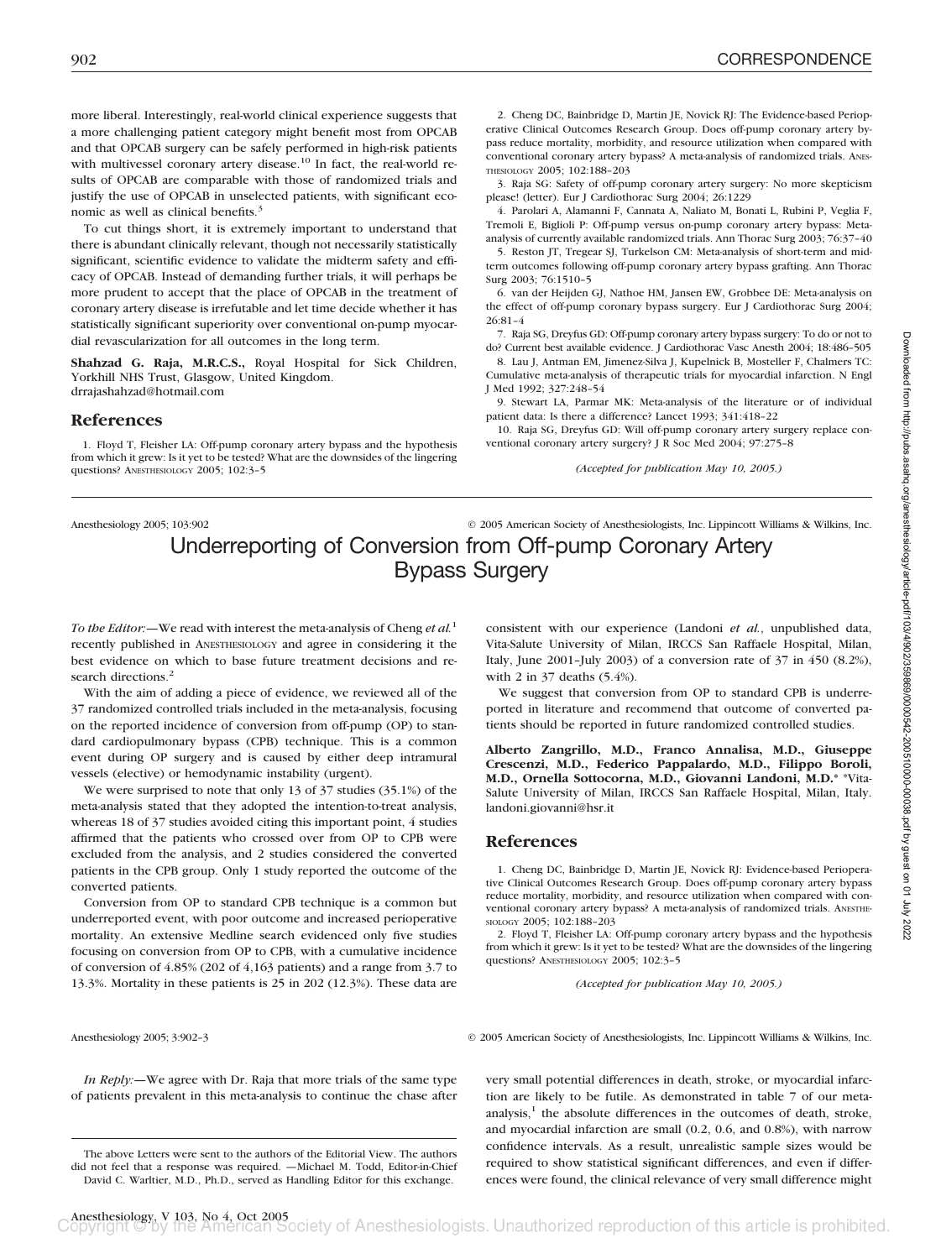more liberal. Interestingly, real-world clinical experience suggests that a more challenging patient category might benefit most from OPCAB and that OPCAB surgery can be safely performed in high-risk patients with multivessel coronary artery disease.<sup>10</sup> In fact, the real-world results of OPCAB are comparable with those of randomized trials and justify the use of OPCAB in unselected patients, with significant economic as well as clinical benefits.<sup>3</sup>

To cut things short, it is extremely important to understand that there is abundant clinically relevant, though not necessarily statistically significant, scientific evidence to validate the midterm safety and efficacy of OPCAB. Instead of demanding further trials, it will perhaps be more prudent to accept that the place of OPCAB in the treatment of coronary artery disease is irrefutable and let time decide whether it has statistically significant superiority over conventional on-pump myocardial revascularization for all outcomes in the long term.

**Shahzad G. Raja, M.R.C.S.,** Royal Hospital for Sick Children, Yorkhill NHS Trust, Glasgow, United Kingdom. drrajashahzad@hotmail.com

#### **References**

1. Floyd T, Fleisher LA: Off-pump coronary artery bypass and the hypothesis from which it grew: Is it yet to be tested? What are the downsides of the lingering questions? ANESTHESIOLOGY 2005; 102:3–5

2. Cheng DC, Bainbridge D, Martin JE, Novick RJ: The Evidence-based Perioperative Clinical Outcomes Research Group. Does off-pump coronary artery bypass reduce mortality, morbidity, and resource utilization when compared with conventional coronary artery bypass? A meta-analysis of randomized trials. ANES-THESIOLOGY 2005; 102:188–203

3. Raja SG: Safety of off-pump coronary artery surgery: No more skepticism please! (letter). Eur J Cardiothorac Surg 2004; 26:1229

4. Parolari A, Alamanni F, Cannata A, Naliato M, Bonati L, Rubini P, Veglia F, Tremoli E, Biglioli P: Off-pump versus on-pump coronary artery bypass: Metaanalysis of currently available randomized trials. Ann Thorac Surg 2003; 76:37–40

5. Reston JT, Tregear SJ, Turkelson CM: Meta-analysis of short-term and midterm outcomes following off-pump coronary artery bypass grafting. Ann Thorac Surg 2003; 76:1510–5

6. van der Heijden GJ, Nathoe HM, Jansen EW, Grobbee DE: Meta-analysis on the effect of off-pump coronary bypass surgery. Eur J Cardiothorac Surg 2004; 26:81–4

7. Raja SG, Dreyfus GD: Off-pump coronary artery bypass surgery: To do or not to do? Current best available evidence. J Cardiothorac Vasc Anesth 2004; 18:486–505

8. Lau J, Antman EM, Jimenez-Silva J, Kupelnick B, Mosteller F, Chalmers TC: Cumulative meta-analysis of therapeutic trials for myocardial infarction. N Engl J Med 1992; 327:248–54

9. Stewart LA, Parmar MK: Meta-analysis of the literature or of individual patient data: Is there a difference? Lancet 1993; 341:418–22

10. Raja SG, Dreyfus GD: Will off-pump coronary artery surgery replace conventional coronary artery surgery? J R Soc Med 2004; 97:275–8

*(Accepted for publication May 10, 2005.)*

## Anesthesiology 2005; 103:902 © 2005 American Society of Anesthesiologists, Inc. Lippincott Williams & Wilkins, Inc. Underreporting of Conversion from Off-pump Coronary Artery Bypass Surgery

*To the Editor:—*We read with interest the meta-analysis of Cheng *et al.*<sup>1</sup> recently published in ANESTHESIOLOGY and agree in considering it the best evidence on which to base future treatment decisions and research directions.<sup>2</sup>

With the aim of adding a piece of evidence, we reviewed all of the 37 randomized controlled trials included in the meta-analysis, focusing on the reported incidence of conversion from off-pump (OP) to standard cardiopulmonary bypass (CPB) technique. This is a common event during OP surgery and is caused by either deep intramural vessels (elective) or hemodynamic instability (urgent).

We were surprised to note that only 13 of 37 studies (35.1%) of the meta-analysis stated that they adopted the intention-to-treat analysis, whereas 18 of 37 studies avoided citing this important point, 4 studies affirmed that the patients who crossed over from OP to CPB were excluded from the analysis, and 2 studies considered the converted patients in the CPB group. Only 1 study reported the outcome of the converted patients.

Conversion from OP to standard CPB technique is a common but underreported event, with poor outcome and increased perioperative mortality. An extensive Medline search evidenced only five studies focusing on conversion from OP to CPB, with a cumulative incidence of conversion of 4.85% (202 of 4,163 patients) and a range from 3.7 to 13.3%. Mortality in these patients is 25 in 202 (12.3%). These data are

*In Reply:—*We agree with Dr. Raja that more trials of the same type of patients prevalent in this meta-analysis to continue the chase after

The above Letters were sent to the authors of the Editorial View. The authors did not feel that a response was required. —Michael M. Todd, Editor-in-Chief David C. Warltier, M.D., Ph.D., served as Handling Editor for this exchange.

consistent with our experience (Landoni *et al.*, unpublished data, Vita-Salute University of Milan, IRCCS San Raffaele Hospital, Milan, Italy, June 2001–July 2003) of a conversion rate of 37 in 450 (8.2%), with 2 in 37 deaths (5.4%).

We suggest that conversion from OP to standard CPB is underreported in literature and recommend that outcome of converted patients should be reported in future randomized controlled studies.

**Alberto Zangrillo, M.D., Franco Annalisa, M.D., Giuseppe Crescenzi, M.D., Federico Pappalardo, M.D., Filippo Boroli, M.D., Ornella Sottocorna, M.D., Giovanni Landoni, M.D.\*** \*Vita-Salute University of Milan, IRCCS San Raffaele Hospital, Milan, Italy. landoni.giovanni@hsr.it

#### **References**

1. Cheng DC, Bainbridge D, Martin JE, Novick RJ: Evidence-based Perioperative Clinical Outcomes Research Group. Does off-pump coronary artery bypass reduce mortality, morbidity, and resource utilization when compared with conventional coronary artery bypass? A meta-analysis of randomized trials. ANESTHE-SIOLOGY 2005; 102:188–203

2. Floyd T, Fleisher LA: Off-pump coronary artery bypass and the hypothesis from which it grew: Is it yet to be tested? What are the downsides of the lingering questions? ANESTHESIOLOGY 2005; 102:3–5

*(Accepted for publication May 10, 2005.)*

Anesthesiology 2005; 3:902–3 © 2005 American Society of Anesthesiologists, Inc. Lippincott Williams & Wilkins, Inc.

very small potential differences in death, stroke, or myocardial infarction are likely to be futile. As demonstrated in table 7 of our metaanalysis, $<sup>1</sup>$  the absolute differences in the outcomes of death, stroke,</sup> and myocardial infarction are small (0.2, 0.6, and 0.8%), with narrow confidence intervals. As a result, unrealistic sample sizes would be required to show statistical significant differences, and even if differences were found, the clinical relevance of very small difference might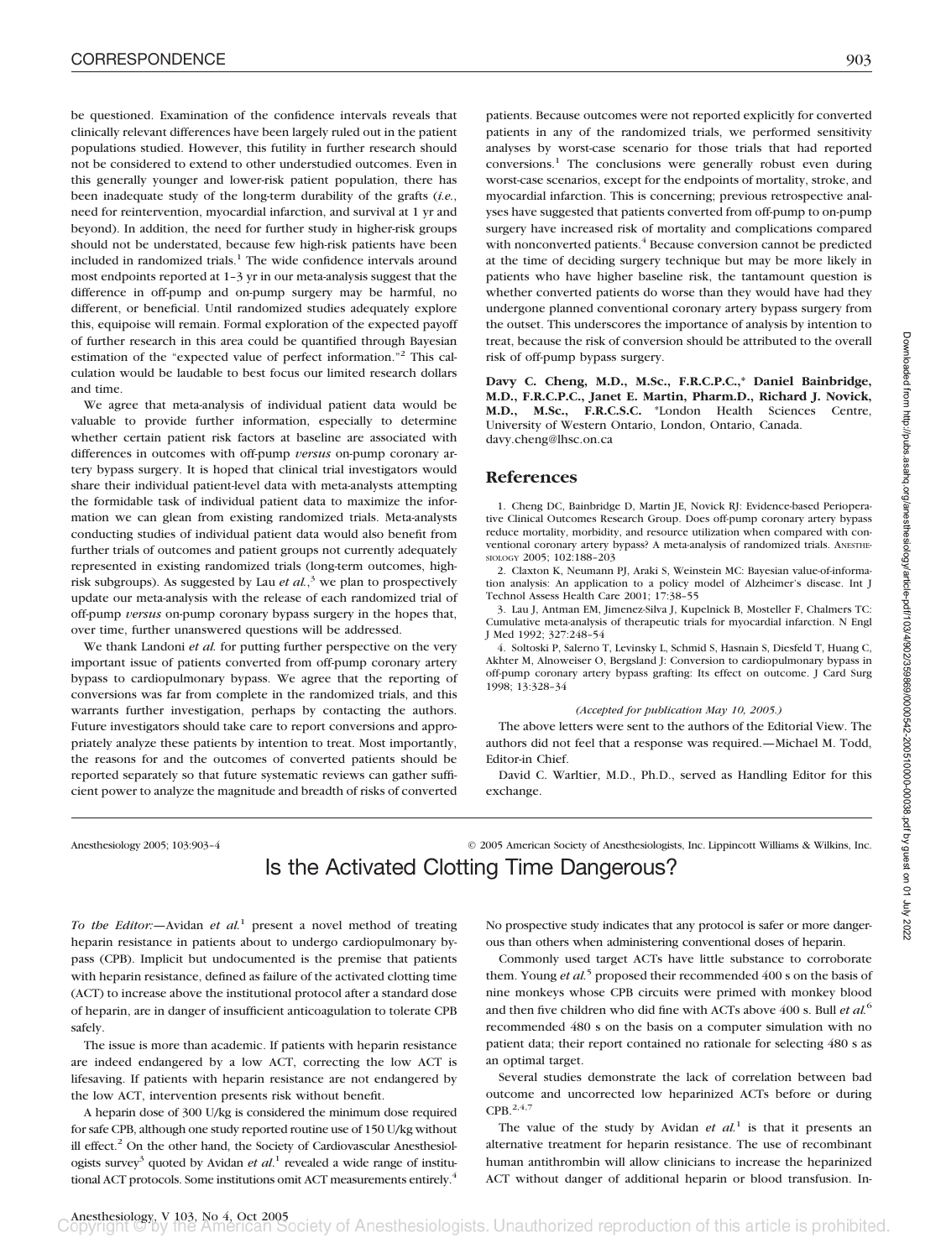be questioned. Examination of the confidence intervals reveals that clinically relevant differences have been largely ruled out in the patient populations studied. However, this futility in further research should not be considered to extend to other understudied outcomes. Even in this generally younger and lower-risk patient population, there has been inadequate study of the long-term durability of the grafts (*i.e.*, need for reintervention, myocardial infarction, and survival at 1 yr and beyond). In addition, the need for further study in higher-risk groups should not be understated, because few high-risk patients have been included in randomized trials.<sup>1</sup> The wide confidence intervals around most endpoints reported at 1–3 yr in our meta-analysis suggest that the difference in off-pump and on-pump surgery may be harmful, no different, or beneficial. Until randomized studies adequately explore this, equipoise will remain. Formal exploration of the expected payoff of further research in this area could be quantified through Bayesian estimation of the "expected value of perfect information."<sup>2</sup> This calculation would be laudable to best focus our limited research dollars and time.

We agree that meta-analysis of individual patient data would be valuable to provide further information, especially to determine whether certain patient risk factors at baseline are associated with differences in outcomes with off-pump *versus* on-pump coronary artery bypass surgery. It is hoped that clinical trial investigators would share their individual patient-level data with meta-analysts attempting the formidable task of individual patient data to maximize the information we can glean from existing randomized trials. Meta-analysts conducting studies of individual patient data would also benefit from further trials of outcomes and patient groups not currently adequately represented in existing randomized trials (long-term outcomes, highrisk subgroups). As suggested by Lau *et al.*, <sup>3</sup> we plan to prospectively update our meta-analysis with the release of each randomized trial of off-pump *versus* on-pump coronary bypass surgery in the hopes that, over time, further unanswered questions will be addressed.

We thank Landoni *et al.* for putting further perspective on the very important issue of patients converted from off-pump coronary artery bypass to cardiopulmonary bypass. We agree that the reporting of conversions was far from complete in the randomized trials, and this warrants further investigation, perhaps by contacting the authors. Future investigators should take care to report conversions and appropriately analyze these patients by intention to treat. Most importantly, the reasons for and the outcomes of converted patients should be reported separately so that future systematic reviews can gather sufficient power to analyze the magnitude and breadth of risks of converted

patients. Because outcomes were not reported explicitly for converted patients in any of the randomized trials, we performed sensitivity analyses by worst-case scenario for those trials that had reported conversions.<sup>1</sup> The conclusions were generally robust even during worst-case scenarios, except for the endpoints of mortality, stroke, and myocardial infarction. This is concerning; previous retrospective analyses have suggested that patients converted from off-pump to on-pump surgery have increased risk of mortality and complications compared with nonconverted patients.<sup>4</sup> Because conversion cannot be predicted at the time of deciding surgery technique but may be more likely in patients who have higher baseline risk, the tantamount question is whether converted patients do worse than they would have had they undergone planned conventional coronary artery bypass surgery from the outset. This underscores the importance of analysis by intention to treat, because the risk of conversion should be attributed to the overall risk of off-pump bypass surgery.

**Davy C. Cheng, M.D., M.Sc., F.R.C.P.C.,\* Daniel Bainbridge, M.D., F.R.C.P.C., Janet E. Martin, Pharm.D., Richard J. Novick, M.D., M.Sc., F.R.C.S.C.** \*London Health Sciences Centre, University of Western Ontario, London, Ontario, Canada. davy.cheng@lhsc.on.ca

#### **References**

1. Cheng DC, Bainbridge D, Martin JE, Novick RJ: Evidence-based Perioperative Clinical Outcomes Research Group. Does off-pump coronary artery bypass reduce mortality, morbidity, and resource utilization when compared with conventional coronary artery bypass? A meta-analysis of randomized trials. ANESTHE-SIOLOGY 2005; 102:188–203

2. Claxton K, Neumann PJ, Araki S, Weinstein MC: Bayesian value-of-information analysis: An application to a policy model of Alzheimer's disease. Int J Technol Assess Health Care 2001; 17:38–55

3. Lau J, Antman EM, Jimenez-Silva J, Kupelnick B, Mosteller F, Chalmers TC: Cumulative meta-analysis of therapeutic trials for myocardial infarction. N Engl J Med 1992; 327:248–54

4. Soltoski P, Salerno T, Levinsky L, Schmid S, Hasnain S, Diesfeld T, Huang C, Akhter M, Alnoweiser O, Bergsland J: Conversion to cardiopulmonary bypass in off-pump coronary artery bypass grafting: Its effect on outcome. J Card Surg 1998; 13:328–34

#### *(Accepted for publication May 10, 2005.)*

The above letters were sent to the authors of the Editorial View. The authors did not feel that a response was required.—Michael M. Todd, Editor-in Chief.

David C. Warltier, M.D., Ph.D., served as Handling Editor for this exchange.

Anesthesiology 2005; 103:903-4 © 2005 American Society of Anesthesiologists, Inc. Lippincott Williams & Wilkins, Inc.

# Is the Activated Clotting Time Dangerous?

*To the Editor:—*Avidan *et al.*<sup>1</sup> present a novel method of treating heparin resistance in patients about to undergo cardiopulmonary bypass (CPB). Implicit but undocumented is the premise that patients with heparin resistance, defined as failure of the activated clotting time (ACT) to increase above the institutional protocol after a standard dose of heparin, are in danger of insufficient anticoagulation to tolerate CPB safely.

The issue is more than academic. If patients with heparin resistance are indeed endangered by a low ACT, correcting the low ACT is lifesaving. If patients with heparin resistance are not endangered by the low ACT, intervention presents risk without benefit.

A heparin dose of 300 U/kg is considered the minimum dose required for safe CPB, although one study reported routine use of 150 U/kg without ill effect.<sup>2</sup> On the other hand, the Society of Cardiovascular Anesthesiologists survey<sup>3</sup> quoted by Avidan *et al.*<sup>1</sup> revealed a wide range of institutional ACT protocols. Some institutions omit ACT measurements entirely.4

No prospective study indicates that any protocol is safer or more dangerous than others when administering conventional doses of heparin.

Commonly used target ACTs have little substance to corroborate them. Young *et al.*<sup>5</sup> proposed their recommended 400 s on the basis of nine monkeys whose CPB circuits were primed with monkey blood and then five children who did fine with ACTs above 400 s. Bull *et al.*<sup>6</sup> recommended 480 s on the basis on a computer simulation with no patient data; their report contained no rationale for selecting 480 s as an optimal target.

Several studies demonstrate the lack of correlation between bad outcome and uncorrected low heparinized ACTs before or during  $CPB.$ <sup>2,4,7</sup>

The value of the study by Avidan  $et \text{ } al.^1$  is that it presents an alternative treatment for heparin resistance. The use of recombinant human antithrombin will allow clinicians to increase the heparinized ACT without danger of additional heparin or blood transfusion. In-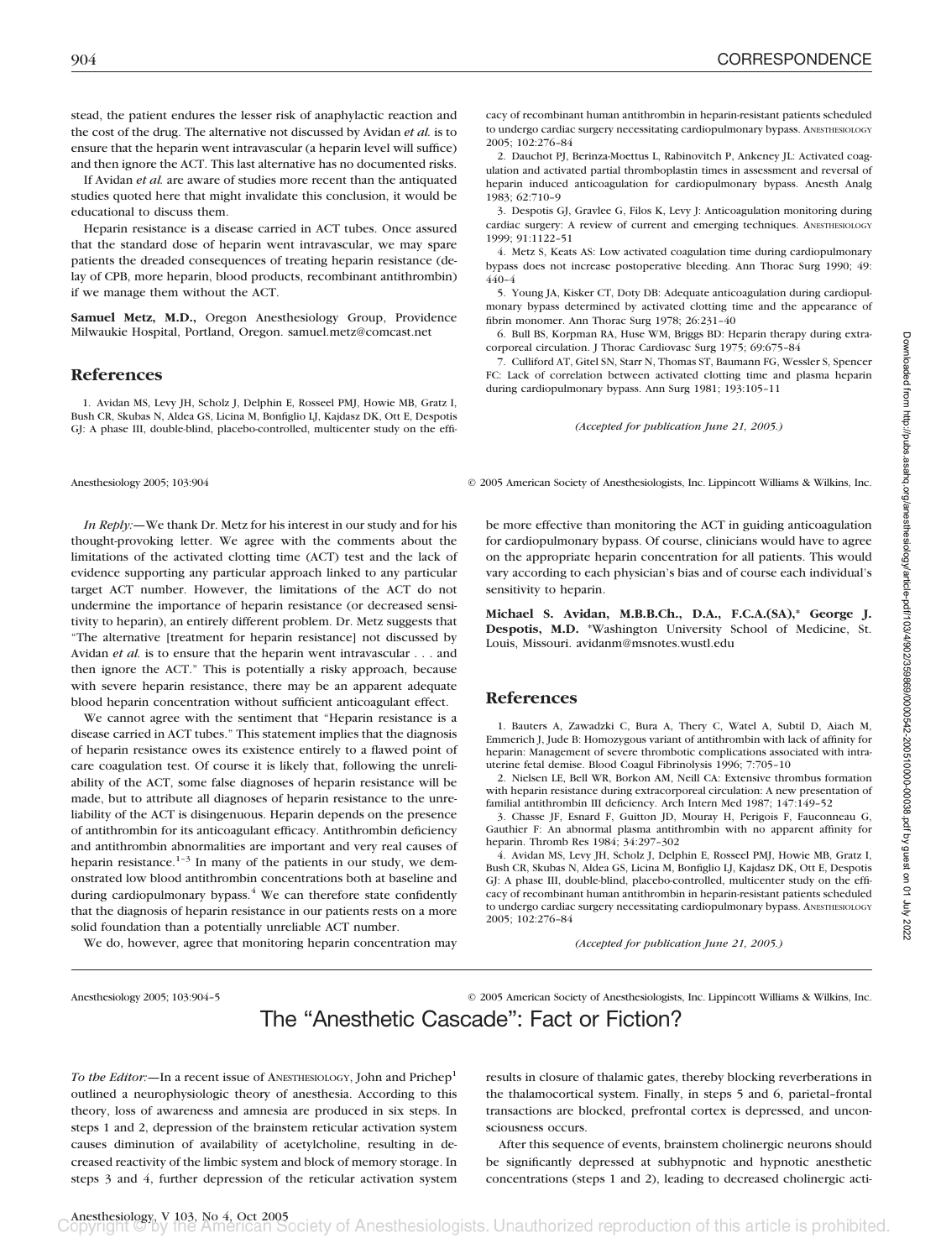stead, the patient endures the lesser risk of anaphylactic reaction and the cost of the drug. The alternative not discussed by Avidan *et al.* is to ensure that the heparin went intravascular (a heparin level will suffice) and then ignore the ACT. This last alternative has no documented risks.

If Avidan *et al.* are aware of studies more recent than the antiquated studies quoted here that might invalidate this conclusion, it would be educational to discuss them.

Heparin resistance is a disease carried in ACT tubes. Once assured that the standard dose of heparin went intravascular, we may spare patients the dreaded consequences of treating heparin resistance (delay of CPB, more heparin, blood products, recombinant antithrombin) if we manage them without the ACT.

**Samuel Metz, M.D.,** Oregon Anesthesiology Group, Providence Milwaukie Hospital, Portland, Oregon. samuel.metz@comcast.net

#### **References**

1. Avidan MS, Levy JH, Scholz J, Delphin E, Rosseel PMJ, Howie MB, Gratz I, Bush CR, Skubas N, Aldea GS, Licina M, Bonfiglio LJ, Kajdasz DK, Ott E, Despotis GJ: A phase III, double-blind, placebo-controlled, multicenter study on the effi-

*In Reply:—*We thank Dr. Metz for his interest in our study and for his thought-provoking letter. We agree with the comments about the limitations of the activated clotting time (ACT) test and the lack of evidence supporting any particular approach linked to any particular target ACT number. However, the limitations of the ACT do not undermine the importance of heparin resistance (or decreased sensitivity to heparin), an entirely different problem. Dr. Metz suggests that "The alternative [treatment for heparin resistance] not discussed by Avidan *et al.* is to ensure that the heparin went intravascular . . . and then ignore the ACT." This is potentially a risky approach, because with severe heparin resistance, there may be an apparent adequate blood heparin concentration without sufficient anticoagulant effect.

We cannot agree with the sentiment that "Heparin resistance is a disease carried in ACT tubes." This statement implies that the diagnosis of heparin resistance owes its existence entirely to a flawed point of care coagulation test. Of course it is likely that, following the unreliability of the ACT, some false diagnoses of heparin resistance will be made, but to attribute all diagnoses of heparin resistance to the unreliability of the ACT is disingenuous. Heparin depends on the presence of antithrombin for its anticoagulant efficacy. Antithrombin deficiency and antithrombin abnormalities are important and very real causes of heparin resistance. $1-3$  In many of the patients in our study, we demonstrated low blood antithrombin concentrations both at baseline and during cardiopulmonary bypass.<sup>4</sup> We can therefore state confidently that the diagnosis of heparin resistance in our patients rests on a more solid foundation than a potentially unreliable ACT number.

We do, however, agree that monitoring heparin concentration may

cacy of recombinant human antithrombin in heparin-resistant patients scheduled to undergo cardiac surgery necessitating cardiopulmonary bypass. ANESTHESIOLOGY 2005; 102:276–84

2. Dauchot PJ, Berinza-Moettus L, Rabinovitch P, Ankeney JL: Activated coagulation and activated partial thromboplastin times in assessment and reversal of heparin induced anticoagulation for cardiopulmonary bypass. Anesth Analg 1983; 62:710–9

3. Despotis GJ, Gravlee G, Filos K, Levy J: Anticoagulation monitoring during cardiac surgery: A review of current and emerging techniques. ANESTHESIOLOGY 1999; 91:1122–51

4. Metz S, Keats AS: Low activated coagulation time during cardiopulmonary bypass does not increase postoperative bleeding. Ann Thorac Surg 1990; 49: 440–4

5. Young JA, Kisker CT, Doty DB: Adequate anticoagulation during cardiopulmonary bypass determined by activated clotting time and the appearance of fibrin monomer. Ann Thorac Surg 1978; 26:231–40

6. Bull BS, Korpman RA, Huse WM, Briggs BD: Heparin therapy during extracorporeal circulation. J Thorac Cardiovasc Surg 1975; 69:675–84

7. Culliford AT, Gitel SN, Starr N, Thomas ST, Baumann FG, Wessler S, Spencer FC: Lack of correlation between activated clotting time and plasma heparin during cardiopulmonary bypass. Ann Surg 1981; 193:105–11

*(Accepted for publication June 21, 2005.)*

Anesthesiology 2005; 103:904 © 2005 American Society of Anesthesiologists, Inc. Lippincott Williams & Wilkins, Inc.

be more effective than monitoring the ACT in guiding anticoagulation for cardiopulmonary bypass. Of course, clinicians would have to agree on the appropriate heparin concentration for all patients. This would vary according to each physician's bias and of course each individual's sensitivity to heparin.

**Michael S. Avidan, M.B.B.Ch., D.A., F.C.A.(SA),\* George J. Despotis, M.D.** \*Washington University School of Medicine, St. Louis, Missouri. avidanm@msnotes.wustl.edu

#### **References**

1. Bauters A, Zawadzki C, Bura A, Thery C, Watel A, Subtil D, Aiach M, Emmerich J, Jude B: Homozygous variant of antithrombin with lack of affinity for heparin: Management of severe thrombotic complications associated with intrauterine fetal demise. Blood Coagul Fibrinolysis 1996; 7:705–10

2. Nielsen LE, Bell WR, Borkon AM, Neill CA: Extensive thrombus formation with heparin resistance during extracorporeal circulation: A new presentation of familial antithrombin III deficiency. Arch Intern Med 1987; 147:149–52

3. Chasse JF, Esnard F, Guitton JD, Mouray H, Perigois F, Fauconneau G, Gauthier F: An abnormal plasma antithrombin with no apparent affinity for heparin. Thromb Res 1984; 34:297–302

4. Avidan MS, Levy JH, Scholz J, Delphin E, Rosseel PMJ, Howie MB, Gratz I, Bush CR, Skubas N, Aldea GS, Licina M, Bonfiglio LJ, Kajdasz DK, Ott E, Despotis GJ: A phase III, double-blind, placebo-controlled, multicenter study on the efficacy of recombinant human antithrombin in heparin-resistant patients scheduled to undergo cardiac surgery necessitating cardiopulmonary bypass. ANESTHESIOLOGY 2005; 102:276–84

*(Accepted for publication June 21, 2005.)*

Anesthesiology 2005; 103:904–5 © 2005 American Society of Anesthesiologists, Inc. Lippincott Williams & Wilkins, Inc. The "Anesthetic Cascade": Fact or Fiction?

*To the Editor:*—In a recent issue of ANESTHESIOLOGY, John and Prichep<sup>1</sup> outlined a neurophysiologic theory of anesthesia. According to this theory, loss of awareness and amnesia are produced in six steps. In steps 1 and 2, depression of the brainstem reticular activation system causes diminution of availability of acetylcholine, resulting in decreased reactivity of the limbic system and block of memory storage. In steps 3 and 4, further depression of the reticular activation system

results in closure of thalamic gates, thereby blocking reverberations in the thalamocortical system. Finally, in steps 5 and 6, parietal–frontal transactions are blocked, prefrontal cortex is depressed, and unconsciousness occurs.

After this sequence of events, brainstem cholinergic neurons should be significantly depressed at subhypnotic and hypnotic anesthetic concentrations (steps 1 and 2), leading to decreased cholinergic actiDownloaded from http://pubs.asahq.org/anesthesiology/article-pdf/103/4/300209000642-200510000-00038.pdf by guest on 01 July 2022 Downloaded from http://pubs.asahq.org/anesthesiology/article-pdf/103/4/902/359869/0000542-200510000-00038.pdf by guest on 01 July 2022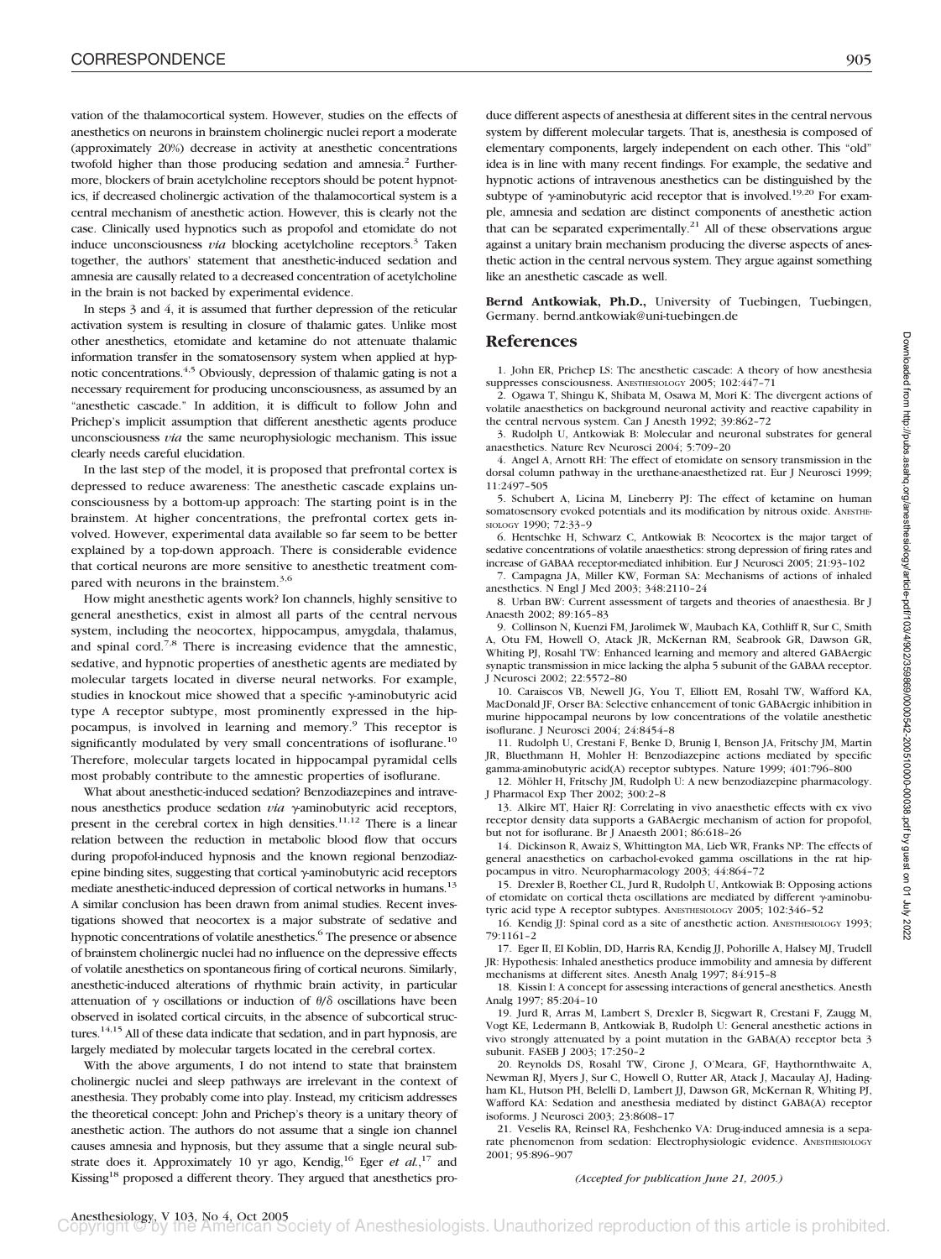vation of the thalamocortical system. However, studies on the effects of anesthetics on neurons in brainstem cholinergic nuclei report a moderate (approximately 20%) decrease in activity at anesthetic concentrations twofold higher than those producing sedation and amnesia.<sup>2</sup> Furthermore, blockers of brain acetylcholine receptors should be potent hypnotics, if decreased cholinergic activation of the thalamocortical system is a central mechanism of anesthetic action. However, this is clearly not the case. Clinically used hypnotics such as propofol and etomidate do not induce unconsciousness *via* blocking acetylcholine receptors.<sup>3</sup> Taken together, the authors' statement that anesthetic-induced sedation and amnesia are causally related to a decreased concentration of acetylcholine in the brain is not backed by experimental evidence.

In steps 3 and 4, it is assumed that further depression of the reticular activation system is resulting in closure of thalamic gates. Unlike most other anesthetics, etomidate and ketamine do not attenuate thalamic information transfer in the somatosensory system when applied at hypnotic concentrations.4,5 Obviously, depression of thalamic gating is not a necessary requirement for producing unconsciousness, as assumed by an "anesthetic cascade." In addition, it is difficult to follow John and Prichep's implicit assumption that different anesthetic agents produce unconsciousness *via* the same neurophysiologic mechanism. This issue clearly needs careful elucidation.

In the last step of the model, it is proposed that prefrontal cortex is depressed to reduce awareness: The anesthetic cascade explains unconsciousness by a bottom-up approach: The starting point is in the brainstem. At higher concentrations, the prefrontal cortex gets involved. However, experimental data available so far seem to be better explained by a top-down approach. There is considerable evidence that cortical neurons are more sensitive to anesthetic treatment compared with neurons in the brainstem.3,6

How might anesthetic agents work? Ion channels, highly sensitive to general anesthetics, exist in almost all parts of the central nervous system, including the neocortex, hippocampus, amygdala, thalamus, and spinal cord.7,8 There is increasing evidence that the amnestic, sedative, and hypnotic properties of anesthetic agents are mediated by molecular targets located in diverse neural networks. For example, studies in knockout mice showed that a specific  $\gamma$ -aminobutyric acid type A receptor subtype, most prominently expressed in the hippocampus, is involved in learning and memory.9 This receptor is significantly modulated by very small concentrations of isoflurane.<sup>10</sup> Therefore, molecular targets located in hippocampal pyramidal cells most probably contribute to the amnestic properties of isoflurane.

What about anesthetic-induced sedation? Benzodiazepines and intravenous anesthetics produce sedation *via*  $\gamma$ aminobutyric acid receptors, present in the cerebral cortex in high densities.<sup>11,12</sup> There is a linear relation between the reduction in metabolic blood flow that occurs during propofol-induced hypnosis and the known regional benzodiazepine binding sites, suggesting that cortical  $\gamma$ -aminobutyric acid receptors mediate anesthetic-induced depression of cortical networks in humans.<sup>13</sup> A similar conclusion has been drawn from animal studies. Recent investigations showed that neocortex is a major substrate of sedative and hypnotic concentrations of volatile anesthetics.<sup>6</sup> The presence or absence of brainstem cholinergic nuclei had no influence on the depressive effects of volatile anesthetics on spontaneous firing of cortical neurons. Similarly, anesthetic-induced alterations of rhythmic brain activity, in particular attenuation of  $\gamma$  oscillations or induction of  $\theta/\delta$  oscillations have been observed in isolated cortical circuits, in the absence of subcortical structures.<sup>14,15</sup> All of these data indicate that sedation, and in part hypnosis, are largely mediated by molecular targets located in the cerebral cortex.

With the above arguments, I do not intend to state that brainstem cholinergic nuclei and sleep pathways are irrelevant in the context of anesthesia. They probably come into play. Instead, my criticism addresses the theoretical concept: John and Prichep's theory is a unitary theory of anesthetic action. The authors do not assume that a single ion channel causes amnesia and hypnosis, but they assume that a single neural substrate does it. Approximately 10 yr ago, Kendig,<sup>16</sup> Eger *et al.*,<sup>17</sup> and Kissing<sup>18</sup> proposed a different theory. They argued that anesthetics produce different aspects of anesthesia at different sites in the central nervous

system by different molecular targets. That is, anesthesia is composed of elementary components, largely independent on each other. This "old" idea is in line with many recent findings. For example, the sedative and hypnotic actions of intravenous anesthetics can be distinguished by the subtype of  $\gamma$ aminobutyric acid receptor that is involved.<sup>19,20</sup> For example, amnesia and sedation are distinct components of anesthetic action that can be separated experimentally.<sup>21</sup> All of these observations argue against a unitary brain mechanism producing the diverse aspects of anesthetic action in the central nervous system. They argue against something like an anesthetic cascade as well.

**Bernd Antkowiak, Ph.D.,** University of Tuebingen, Tuebingen, Germany. bernd.antkowiak@uni-tuebingen.de

#### **References**

1. John ER, Prichep LS: The anesthetic cascade: A theory of how anesthesia suppresses consciousness. ANESTHESIOLOGY 2005; 102:447–71

2. Ogawa T, Shingu K, Shibata M, Osawa M, Mori K: The divergent actions of volatile anaesthetics on background neuronal activity and reactive capability in the central nervous system. Can J Anesth 1992; 39:862–72

3. Rudolph U, Antkowiak B: Molecular and neuronal substrates for general anaesthetics. Nature Rev Neurosci 2004; 5:709–20

4. Angel A, Arnott RH: The effect of etomidate on sensory transmission in the dorsal column pathway in the urethane-anaesthetized rat. Eur J Neurosci 1999; 11:2497–505

5. Schubert A, Licina M, Lineberry PJ: The effect of ketamine on human somatosensory evoked potentials and its modification by nitrous oxide. ANESTHE-SIOLOGY 1990; 72:33–9

6. Hentschke H, Schwarz C, Antkowiak B: Neocortex is the major target of sedative concentrations of volatile anaesthetics: strong depression of firing rates and increase of GABAA receptor-mediated inhibition. Eur J Neurosci 2005; 21:93–102 7. Campagna JA, Miller KW, Forman SA: Mechanisms of actions of inhaled

anesthetics. N Engl J Med 2003; 348:2110–24

8. Urban BW: Current assessment of targets and theories of anaesthesia. Br J Anaesth 2002; 89:165–83

9. Collinson N, Kuenzi FM, Jarolimek W, Maubach KA, Cothliff R, Sur C, Smith A, Otu FM, Howell O, Atack JR, McKernan RM, Seabrook GR, Dawson GR, Whiting PJ, Rosahl TW: Enhanced learning and memory and altered GABAergic synaptic transmission in mice lacking the alpha 5 subunit of the GABAA receptor. J Neurosci 2002; 22:5572–80

10. Caraiscos VB, Newell JG, You T, Elliott EM, Rosahl TW, Wafford KA, MacDonald JF, Orser BA: Selective enhancement of tonic GABAergic inhibition in murine hippocampal neurons by low concentrations of the volatile anesthetic isoflurane. J Neurosci 2004; 24:8454–8

11. Rudolph U, Crestani F, Benke D, Brunig I, Benson JA, Fritschy JM, Martin JR, Bluethmann H, Mohler H: Benzodiazepine actions mediated by specific gamma-aminobutyric acid(A) receptor subtypes. Nature 1999; 401:796–800

12. Möhler H, Fritschy JM, Rudolph U: A new benzodiazepine pharmacology. J Pharmacol Exp Ther 2002; 300:2–8

13. Alkire MT, Haier RJ: Correlating in vivo anaesthetic effects with ex vivo receptor density data supports a GABAergic mechanism of action for propofol, but not for isoflurane. Br J Anaesth 2001; 86:618–26

14. Dickinson R, Awaiz S, Whittington MA, Lieb WR, Franks NP: The effects of general anaesthetics on carbachol-evoked gamma oscillations in the rat hippocampus in vitro. Neuropharmacology 2003; 44:864–72

15. Drexler B, Roether CL, Jurd R, Rudolph U, Antkowiak B: Opposing actions of etomidate on cortical theta oscillations are mediated by different  $\gamma$ -aminobutyric acid type A receptor subtypes. ANESTHESIOLOGY 2005; 102:346–52

16. Kendig JJ: Spinal cord as a site of anesthetic action. ANESTHESIOLOGY 1993; 79:1161–2

17. Eger II, EI Koblin, DD, Harris RA, Kendig JJ, Pohorille A, Halsey MJ, Trudell JR: Hypothesis: Inhaled anesthetics produce immobility and amnesia by different mechanisms at different sites. Anesth Analg 1997; 84:915–8

18. Kissin I: A concept for assessing interactions of general anesthetics. Anesth Analg 1997; 85:204–10

19. Jurd R, Arras M, Lambert S, Drexler B, Siegwart R, Crestani F, Zaugg M, Vogt KE, Ledermann B, Antkowiak B, Rudolph U: General anesthetic actions in vivo strongly attenuated by a point mutation in the GABA(A) receptor beta 3 subunit. FASEB J 2003; 17:250–2

20. Reynolds DS, Rosahl TW, Cirone J, O'Meara, GF, Haythornthwaite A, Newman RJ, Myers J, Sur C, Howell O, Rutter AR, Atack J, Macaulay AJ, Hadingham KL, Hutson PH, Belelli D, Lambert JJ, Dawson GR, McKernan R, Whiting PJ, Wafford KA: Sedation and anesthesia mediated by distinct GABA(A) receptor isoforms. J Neurosci 2003; 23:8608–17

21. Veselis RA, Reinsel RA, Feshchenko VA: Drug-induced amnesia is a separate phenomenon from sedation: Electrophysiologic evidence. ANESTHESIOLOGY 2001; 95:896–907

#### *(Accepted for publication June 21, 2005.)*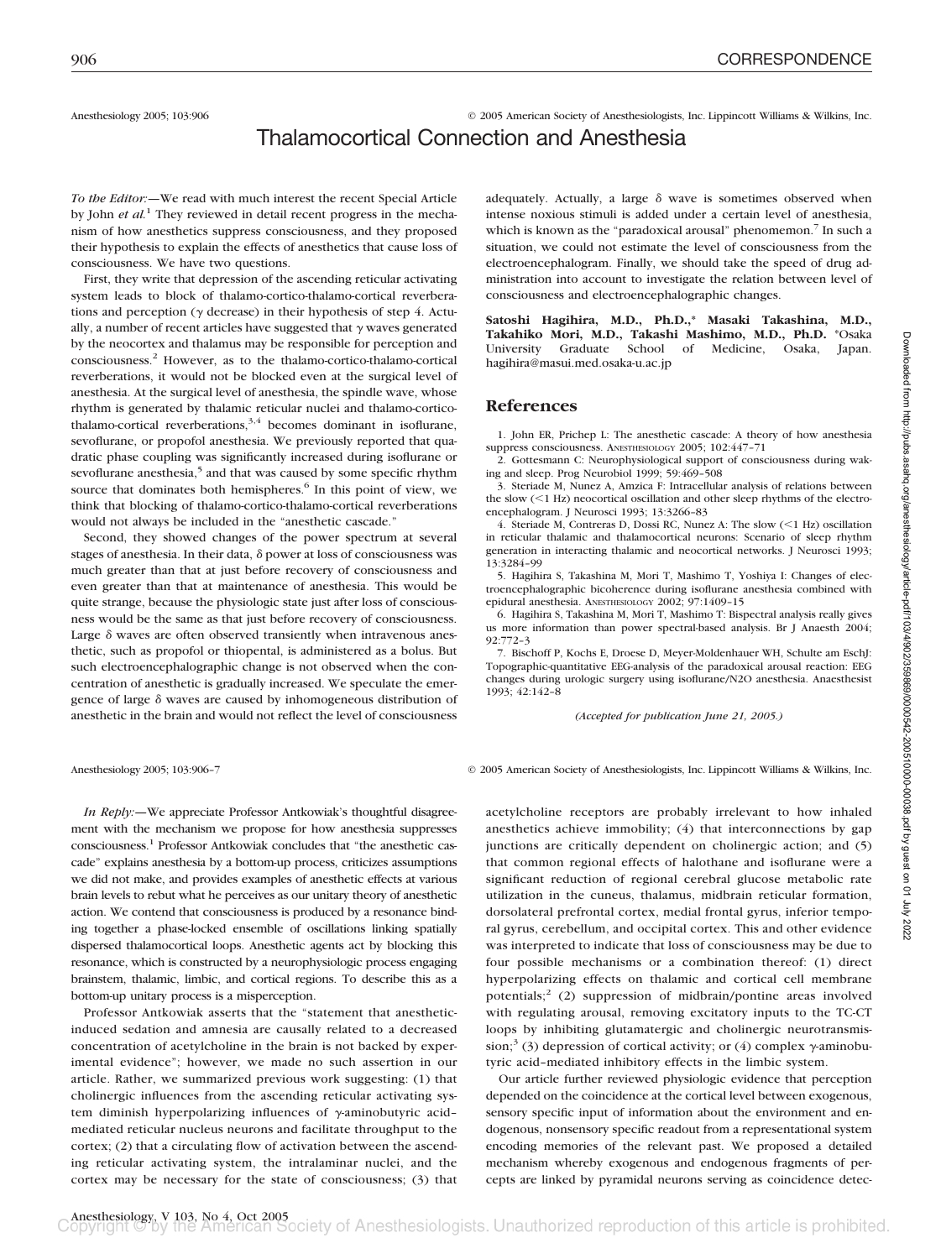Anesthesiology 2005; 103:906 **Exercían Society of Anesthesiologists**, Inc. Lippincott Williams & Wilkins, Inc.

# Thalamocortical Connection and Anesthesia

*To the Editor:—*We read with much interest the recent Special Article by John *et al.*<sup>1</sup> They reviewed in detail recent progress in the mechanism of how anesthetics suppress consciousness, and they proposed their hypothesis to explain the effects of anesthetics that cause loss of consciousness. We have two questions.

First, they write that depression of the ascending reticular activating system leads to block of thalamo-cortico-thalamo-cortical reverberations and perception ( $\gamma$  decrease) in their hypothesis of step 4. Actually, a number of recent articles have suggested that  $\gamma$  waves generated by the neocortex and thalamus may be responsible for perception and consciousness.2 However, as to the thalamo-cortico-thalamo-cortical reverberations, it would not be blocked even at the surgical level of anesthesia. At the surgical level of anesthesia, the spindle wave, whose rhythm is generated by thalamic reticular nuclei and thalamo-corticothalamo-cortical reverberations, $3,4$  becomes dominant in isoflurane, sevoflurane, or propofol anesthesia. We previously reported that quadratic phase coupling was significantly increased during isoflurane or sevoflurane anesthesia,<sup>5</sup> and that was caused by some specific rhythm source that dominates both hemispheres.<sup>6</sup> In this point of view, we think that blocking of thalamo-cortico-thalamo-cortical reverberations would not always be included in the "anesthetic cascade."

Second, they showed changes of the power spectrum at several stages of anesthesia. In their data,  $\delta$  power at loss of consciousness was much greater than that at just before recovery of consciousness and even greater than that at maintenance of anesthesia. This would be quite strange, because the physiologic state just after loss of consciousness would be the same as that just before recovery of consciousness. Large  $\delta$  waves are often observed transiently when intravenous anesthetic, such as propofol or thiopental, is administered as a bolus. But such electroencephalographic change is not observed when the concentration of anesthetic is gradually increased. We speculate the emergence of large  $\delta$  waves are caused by inhomogeneous distribution of anesthetic in the brain and would not reflect the level of consciousness

adequately. Actually, a large  $\delta$  wave is sometimes observed when intense noxious stimuli is added under a certain level of anesthesia, which is known as the "paradoxical arousal" phenomemon.<sup>7</sup> In such a situation, we could not estimate the level of consciousness from the electroencephalogram. Finally, we should take the speed of drug administration into account to investigate the relation between level of consciousness and electroencephalographic changes.

**Satoshi Hagihira, M.D., Ph.D.,\* Masaki Takashina, M.D., Takahiko Mori, M.D., Takashi Mashimo, M.D., Ph.D.** \*Osaka University Graduate School of Medicine, Osaka, Japan. hagihira@masui.med.osaka-u.ac.jp

#### **References**

1. John ER, Prichep L: The anesthetic cascade: A theory of how anesthesia suppress consciousness. ANESTHESIOLOGY 2005; 102:447–71

2. Gottesmann C: Neurophysiological support of consciousness during waking and sleep. Prog Neurobiol 1999; 59:469–508

| 3. Steriade M, Nunez A, Amzica F: Intracellular analysis of relations between      |
|------------------------------------------------------------------------------------|
| the slow $(<1$ Hz) neocortical oscillation and other sleep rhythms of the electro- |
| encephalogram. J Neurosci 1993; 13:3266-83                                         |

4. Steriade M, Contreras D, Dossi RC, Nunez A: The slow (<1 Hz) oscillation in reticular thalamic and thalamocortical neurons: Scenario of sleep rhythm generation in interacting thalamic and neocortical networks. J Neurosci 1993; 13:3284–99

5. Hagihira S, Takashina M, Mori T, Mashimo T, Yoshiya I: Changes of electroencephalographic bicoherence during isoflurane anesthesia combined with epidural anesthesia. ANESTHESIOLOGY 2002; 97:1409–15

6. Hagihira S, Takashina M, Mori T, Mashimo T: Bispectral analysis really gives us more information than power spectral-based analysis. Br J Anaesth 2004; 92:772–3

7. Bischoff P, Kochs E, Droese D, Meyer-Moldenhauer WH, Schulte am EschJ: Topographic-quantitative EEG-analysis of the paradoxical arousal reaction: EEG changes during urologic surgery using isoflurane/N2O anesthesia. Anaesthesist 1993; 42:142–8

*(Accepted for publication June 21, 2005.)*

*In Reply:—*We appreciate Professor Antkowiak's thoughtful disagreement with the mechanism we propose for how anesthesia suppresses consciousness.1 Professor Antkowiak concludes that "the anesthetic cascade" explains anesthesia by a bottom-up process, criticizes assumptions we did not make, and provides examples of anesthetic effects at various brain levels to rebut what he perceives as our unitary theory of anesthetic action. We contend that consciousness is produced by a resonance binding together a phase-locked ensemble of oscillations linking spatially dispersed thalamocortical loops. Anesthetic agents act by blocking this resonance, which is constructed by a neurophysiologic process engaging brainstem, thalamic, limbic, and cortical regions. To describe this as a bottom-up unitary process is a misperception.

Professor Antkowiak asserts that the "statement that anestheticinduced sedation and amnesia are causally related to a decreased concentration of acetylcholine in the brain is not backed by experimental evidence"; however, we made no such assertion in our article. Rather, we summarized previous work suggesting: (1) that cholinergic influences from the ascending reticular activating system diminish hyperpolarizing influences of  $\gamma$ -aminobutyric acidmediated reticular nucleus neurons and facilitate throughput to the cortex; (2) that a circulating flow of activation between the ascending reticular activating system, the intralaminar nuclei, and the cortex may be necessary for the state of consciousness; (3) that

Anesthesiology 2005; 103:906–7 © 2005 American Society of Anesthesiologists, Inc. Lippincott Williams & Wilkins, Inc.

acetylcholine receptors are probably irrelevant to how inhaled anesthetics achieve immobility; (4) that interconnections by gap junctions are critically dependent on cholinergic action; and (5) that common regional effects of halothane and isoflurane were a significant reduction of regional cerebral glucose metabolic rate utilization in the cuneus, thalamus, midbrain reticular formation, dorsolateral prefrontal cortex, medial frontal gyrus, inferior temporal gyrus, cerebellum, and occipital cortex. This and other evidence was interpreted to indicate that loss of consciousness may be due to four possible mechanisms or a combination thereof: (1) direct hyperpolarizing effects on thalamic and cortical cell membrane potentials;<sup>2</sup> (2) suppression of midbrain/pontine areas involved with regulating arousal, removing excitatory inputs to the TC-CT loops by inhibiting glutamatergic and cholinergic neurotransmission;<sup>3</sup> (3) depression of cortical activity; or (4) complex  $\gamma$ -aminobutyric acid–mediated inhibitory effects in the limbic system.

Our article further reviewed physiologic evidence that perception depended on the coincidence at the cortical level between exogenous, sensory specific input of information about the environment and endogenous, nonsensory specific readout from a representational system encoding memories of the relevant past. We proposed a detailed mechanism whereby exogenous and endogenous fragments of percepts are linked by pyramidal neurons serving as coincidence detec-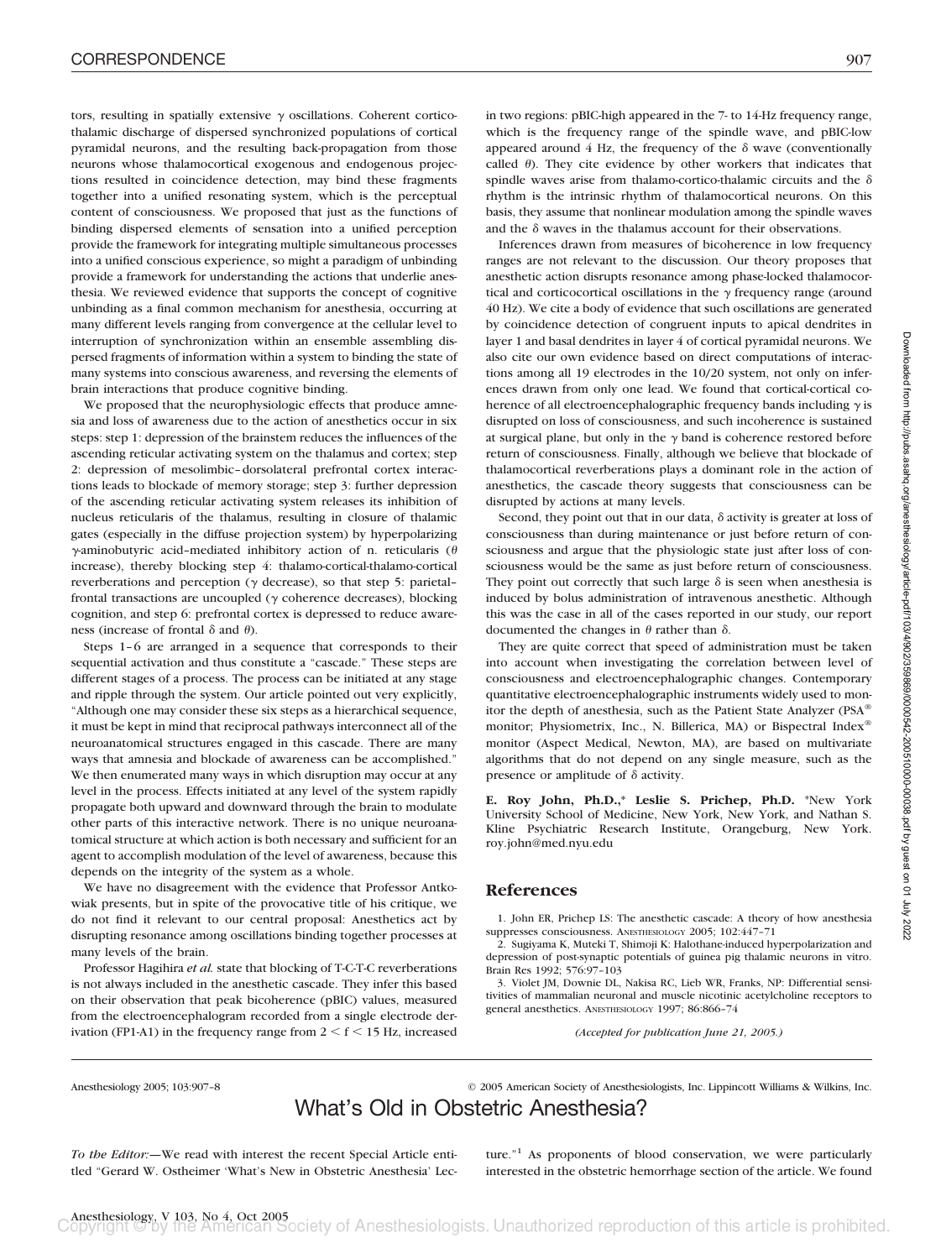tors, resulting in spatially extensive  $\gamma$  oscillations. Coherent corticothalamic discharge of dispersed synchronized populations of cortical pyramidal neurons, and the resulting back-propagation from those neurons whose thalamocortical exogenous and endogenous projections resulted in coincidence detection, may bind these fragments together into a unified resonating system, which is the perceptual content of consciousness. We proposed that just as the functions of binding dispersed elements of sensation into a unified perception provide the framework for integrating multiple simultaneous processes into a unified conscious experience, so might a paradigm of unbinding provide a framework for understanding the actions that underlie anesthesia. We reviewed evidence that supports the concept of cognitive unbinding as a final common mechanism for anesthesia, occurring at many different levels ranging from convergence at the cellular level to interruption of synchronization within an ensemble assembling dispersed fragments of information within a system to binding the state of many systems into conscious awareness, and reversing the elements of brain interactions that produce cognitive binding.

We proposed that the neurophysiologic effects that produce amnesia and loss of awareness due to the action of anesthetics occur in six steps: step 1: depression of the brainstem reduces the influences of the ascending reticular activating system on the thalamus and cortex; step 2: depression of mesolimbic– dorsolateral prefrontal cortex interactions leads to blockade of memory storage; step 3: further depression of the ascending reticular activating system releases its inhibition of nucleus reticularis of the thalamus, resulting in closure of thalamic gates (especially in the diffuse projection system) by hyperpolarizing  $\gamma$ -aminobutyric acid-mediated inhibitory action of n. reticularis ( $\theta$ increase), thereby blocking step 4: thalamo-cortical-thalamo-cortical reverberations and perception ( $\gamma$  decrease), so that step 5: parietalfrontal transactions are uncoupled ( $\gamma$  coherence decreases), blocking cognition, and step 6: prefrontal cortex is depressed to reduce awareness (increase of frontal  $\delta$  and  $\theta$ ).

Steps 1-6 are arranged in a sequence that corresponds to their sequential activation and thus constitute a "cascade." These steps are different stages of a process. The process can be initiated at any stage and ripple through the system. Our article pointed out very explicitly, "Although one may consider these six steps as a hierarchical sequence, it must be kept in mind that reciprocal pathways interconnect all of the neuroanatomical structures engaged in this cascade. There are many ways that amnesia and blockade of awareness can be accomplished." We then enumerated many ways in which disruption may occur at any level in the process. Effects initiated at any level of the system rapidly propagate both upward and downward through the brain to modulate other parts of this interactive network. There is no unique neuroanatomical structure at which action is both necessary and sufficient for an agent to accomplish modulation of the level of awareness, because this depends on the integrity of the system as a whole.

We have no disagreement with the evidence that Professor Antkowiak presents, but in spite of the provocative title of his critique, we do not find it relevant to our central proposal: Anesthetics act by disrupting resonance among oscillations binding together processes at many levels of the brain.

Professor Hagihira *et al.* state that blocking of T-C-T-C reverberations is not always included in the anesthetic cascade. They infer this based on their observation that peak bicoherence (pBIC) values, measured from the electroencephalogram recorded from a single electrode derivation (FP1-A1) in the frequency range from  $2 < f < 15$  Hz, increased

in two regions: pBIC-high appeared in the 7- to 14-Hz frequency range, which is the frequency range of the spindle wave, and pBIC-low appeared around 4 Hz, the frequency of the  $\delta$  wave (conventionally called  $\theta$ ). They cite evidence by other workers that indicates that spindle waves arise from thalamo-cortico-thalamic circuits and the  $\delta$ rhythm is the intrinsic rhythm of thalamocortical neurons. On this basis, they assume that nonlinear modulation among the spindle waves and the  $\delta$  waves in the thalamus account for their observations.

Inferences drawn from measures of bicoherence in low frequency ranges are not relevant to the discussion. Our theory proposes that anesthetic action disrupts resonance among phase-locked thalamocortical and corticocortical oscillations in the  $\gamma$  frequency range (around 40 Hz). We cite a body of evidence that such oscillations are generated by coincidence detection of congruent inputs to apical dendrites in layer 1 and basal dendrites in layer 4 of cortical pyramidal neurons. We also cite our own evidence based on direct computations of interactions among all 19 electrodes in the 10/20 system, not only on inferences drawn from only one lead. We found that cortical-cortical coherence of all electroencephalographic frequency bands including  $\gamma$  is disrupted on loss of consciousness, and such incoherence is sustained at surgical plane, but only in the  $\gamma$  band is coherence restored before return of consciousness. Finally, although we believe that blockade of thalamocortical reverberations plays a dominant role in the action of anesthetics, the cascade theory suggests that consciousness can be disrupted by actions at many levels.

Second, they point out that in our data,  $\delta$  activity is greater at loss of consciousness than during maintenance or just before return of consciousness and argue that the physiologic state just after loss of consciousness would be the same as just before return of consciousness. They point out correctly that such large  $\delta$  is seen when anesthesia is induced by bolus administration of intravenous anesthetic. Although this was the case in all of the cases reported in our study, our report documented the changes in  $\theta$  rather than  $\delta$ .

They are quite correct that speed of administration must be taken into account when investigating the correlation between level of consciousness and electroencephalographic changes. Contemporary quantitative electroencephalographic instruments widely used to monitor the depth of anesthesia, such as the Patient State Analyzer (PSA® monitor; Physiometrix, Inc., N. Billerica, MA) or Bispectral Index® monitor (Aspect Medical, Newton, MA), are based on multivariate algorithms that do not depend on any single measure, such as the presence or amplitude of  $\delta$  activity.

**E. Roy John, Ph.D.,\* Leslie S. Prichep, Ph.D.** \*New York University School of Medicine, New York, New York, and Nathan S. Kline Psychiatric Research Institute, Orangeburg, New York. roy.john@med.nyu.edu

#### **References**

1. John ER, Prichep LS: The anesthetic cascade: A theory of how anesthesia suppresses consciousness. ANESTHESIOLOGY 2005; 102:447-7

2. Sugiyama K, Muteki T, Shimoji K: Halothane-induced hyperpolarization and depression of post-synaptic potentials of guinea pig thalamic neurons in vitro. Brain Res 1992; 576:97–103

3. Violet JM, Downie DL, Nakisa RC, Lieb WR, Franks, NP: Differential sensitivities of mammalian neuronal and muscle nicotinic acetylcholine receptors to general anesthetics. ANESTHESIOLOGY 1997; 86:866–74

*(Accepted for publication June 21, 2005.)*

Anesthesiology 2005; 103:907–8 © 2005 American Society of Anesthesiologists, Inc. Lippincott Williams & Wilkins, Inc.

# What's Old in Obstetric Anesthesia?

*To the Editor:—*We read with interest the recent Special Article entitled "Gerard W. Ostheimer 'What's New in Obstetric Anesthesia' Lecture."<sup>1</sup> As proponents of blood conservation, we were particularly interested in the obstetric hemorrhage section of the article. We found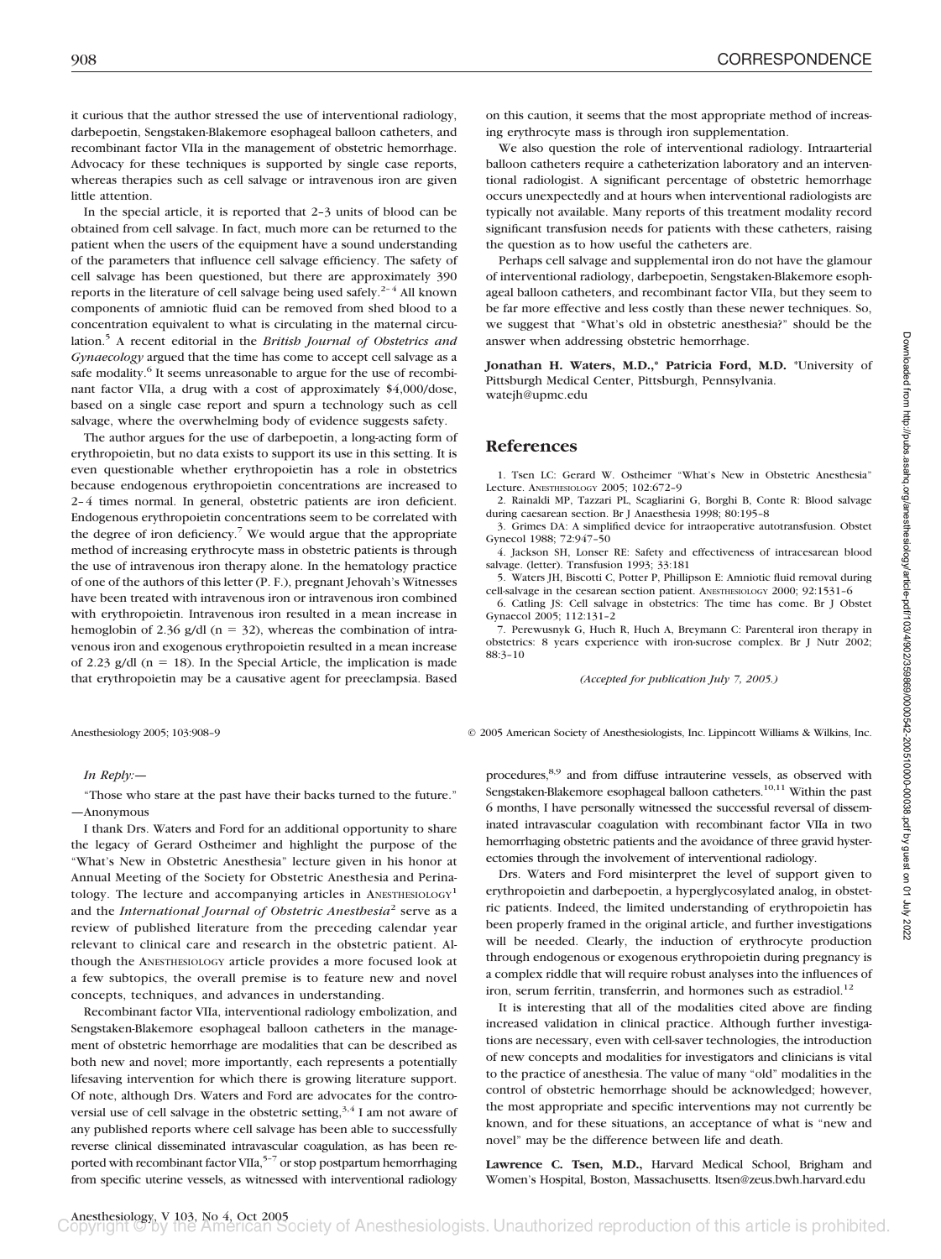it curious that the author stressed the use of interventional radiology, darbepoetin, Sengstaken-Blakemore esophageal balloon catheters, and recombinant factor VIIa in the management of obstetric hemorrhage. Advocacy for these techniques is supported by single case reports, whereas therapies such as cell salvage or intravenous iron are given little attention.

In the special article, it is reported that 2–3 units of blood can be obtained from cell salvage. In fact, much more can be returned to the patient when the users of the equipment have a sound understanding of the parameters that influence cell salvage efficiency. The safety of cell salvage has been questioned, but there are approximately 390 reports in the literature of cell salvage being used safely.<sup>2–4</sup> All known components of amniotic fluid can be removed from shed blood to a concentration equivalent to what is circulating in the maternal circulation.5 A recent editorial in the *British Journal of Obstetrics and Gynaecology* argued that the time has come to accept cell salvage as a safe modality.<sup>6</sup> It seems unreasonable to argue for the use of recombinant factor VIIa, a drug with a cost of approximately \$4,000/dose, based on a single case report and spurn a technology such as cell salvage, where the overwhelming body of evidence suggests safety.

The author argues for the use of darbepoetin, a long-acting form of erythropoietin, but no data exists to support its use in this setting. It is even questionable whether erythropoietin has a role in obstetrics because endogenous erythropoietin concentrations are increased to 2– 4 times normal. In general, obstetric patients are iron deficient. Endogenous erythropoietin concentrations seem to be correlated with the degree of iron deficiency.<sup>7</sup> We would argue that the appropriate method of increasing erythrocyte mass in obstetric patients is through the use of intravenous iron therapy alone. In the hematology practice of one of the authors of this letter (P. F.), pregnant Jehovah's Witnesses have been treated with intravenous iron or intravenous iron combined with erythropoietin. Intravenous iron resulted in a mean increase in hemoglobin of 2.36 g/dl ( $n = 32$ ), whereas the combination of intravenous iron and exogenous erythropoietin resulted in a mean increase of 2.23 g/dl ( $n = 18$ ). In the Special Article, the implication is made that erythropoietin may be a causative agent for preeclampsia. Based

#### *In Reply:—*

"Those who stare at the past have their backs turned to the future." —Anonymous

I thank Drs. Waters and Ford for an additional opportunity to share the legacy of Gerard Ostheimer and highlight the purpose of the "What's New in Obstetric Anesthesia" lecture given in his honor at Annual Meeting of the Society for Obstetric Anesthesia and Perinatology. The lecture and accompanying articles in ANESTHESIOLOGY<sup>1</sup> and the *International Journal of Obstetric Anesthesia*<sup>2</sup> serve as a review of published literature from the preceding calendar year relevant to clinical care and research in the obstetric patient. Although the ANESTHESIOLOGY article provides a more focused look at a few subtopics, the overall premise is to feature new and novel concepts, techniques, and advances in understanding.

Recombinant factor VIIa, interventional radiology embolization, and Sengstaken-Blakemore esophageal balloon catheters in the management of obstetric hemorrhage are modalities that can be described as both new and novel; more importantly, each represents a potentially lifesaving intervention for which there is growing literature support. Of note, although Drs. Waters and Ford are advocates for the controversial use of cell salvage in the obstetric setting,  $3,4$  I am not aware of any published reports where cell salvage has been able to successfully reverse clinical disseminated intravascular coagulation, as has been reported with recombinant factor VIIa,<sup>5-7</sup> or stop postpartum hemorrhaging from specific uterine vessels, as witnessed with interventional radiology

on this caution, it seems that the most appropriate method of increasing erythrocyte mass is through iron supplementation.

We also question the role of interventional radiology. Intraarterial balloon catheters require a catheterization laboratory and an interventional radiologist. A significant percentage of obstetric hemorrhage occurs unexpectedly and at hours when interventional radiologists are typically not available. Many reports of this treatment modality record significant transfusion needs for patients with these catheters, raising the question as to how useful the catheters are.

Perhaps cell salvage and supplemental iron do not have the glamour of interventional radiology, darbepoetin, Sengstaken-Blakemore esophageal balloon catheters, and recombinant factor VIIa, but they seem to be far more effective and less costly than these newer techniques. So, we suggest that "What's old in obstetric anesthesia?" should be the answer when addressing obstetric hemorrhage.

**Jonathan H. Waters, M.D.,\* Patricia Ford, M.D.** \*University of Pittsburgh Medical Center, Pittsburgh, Pennsylvania. watejh@upmc.edu

### **References**

1. Tsen LC: Gerard W. Ostheimer "What's New in Obstetric Anesthesia" Lecture. ANESTHESIOLOGY 2005; 102:672–9

2. Rainaldi MP, Tazzari PL, Scagliarini G, Borghi B, Conte R: Blood salvage during caesarean section. Br J Anaesthesia 1998; 80:195–8

3. Grimes DA: A simplified device for intraoperative autotransfusion. Obstet Gynecol 1988; 72:947–50

4. Jackson SH, Lonser RE: Safety and effectiveness of intracesarean blood salvage. (letter). Transfusion 1993; 33:181

5. Waters JH, Biscotti C, Potter P, Phillipson E: Amniotic fluid removal during cell-salvage in the cesarean section patient. ANESTHESIOLOGY 2000; 92:1531–6

6. Catling JS: Cell salvage in obstetrics: The time has come. Br J Obstet Gynaecol 2005; 112:131–2

7. Perewusnyk G, Huch R, Huch A, Breymann C: Parenteral iron therapy in obstetrics: 8 years experience with iron-sucrose complex. Br J Nutr 2002; 88:3–10

*(Accepted for publication July 7, 2005.)*

Anesthesiology 2005; 103:908–9 © 2005 American Society of Anesthesiologists, Inc. Lippincott Williams & Wilkins, Inc.

procedures,<sup>8,9</sup> and from diffuse intrauterine vessels, as observed with Sengstaken-Blakemore esophageal balloon catheters.<sup>10,11</sup> Within the past 6 months, I have personally witnessed the successful reversal of disseminated intravascular coagulation with recombinant factor VIIa in two hemorrhaging obstetric patients and the avoidance of three gravid hysterectomies through the involvement of interventional radiology.

Drs. Waters and Ford misinterpret the level of support given to erythropoietin and darbepoetin, a hyperglycosylated analog, in obstetric patients. Indeed, the limited understanding of erythropoietin has been properly framed in the original article, and further investigations will be needed. Clearly, the induction of erythrocyte production through endogenous or exogenous erythropoietin during pregnancy is a complex riddle that will require robust analyses into the influences of iron, serum ferritin, transferrin, and hormones such as estradiol.<sup>12</sup>

It is interesting that all of the modalities cited above are finding increased validation in clinical practice. Although further investigations are necessary, even with cell-saver technologies, the introduction of new concepts and modalities for investigators and clinicians is vital to the practice of anesthesia. The value of many "old" modalities in the control of obstetric hemorrhage should be acknowledged; however, the most appropriate and specific interventions may not currently be known, and for these situations, an acceptance of what is "new and novel" may be the difference between life and death.

**Lawrence C. Tsen, M.D.,** Harvard Medical School, Brigham and Women's Hospital, Boston, Massachusetts. ltsen@zeus.bwh.harvard.edu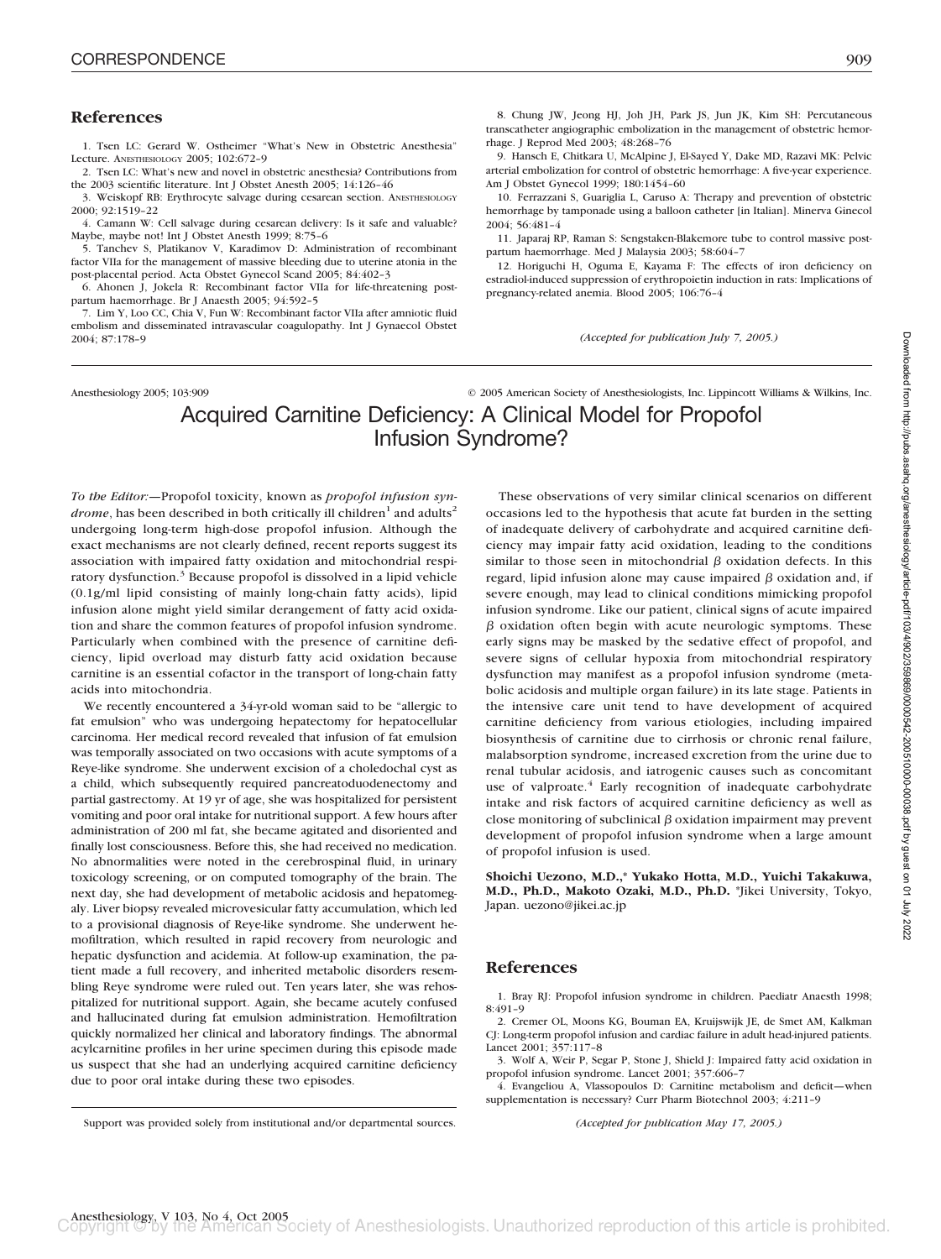#### **References**

1. Tsen LC: Gerard W. Ostheimer "What's New in Obstetric Anesthesia" Lecture. ANESTHESIOLOGY 2005; 102:672–9

2. Tsen LC: What's new and novel in obstetric anesthesia? Contributions from the 2003 scientific literature. Int J Obstet Anesth 2005; 14:126–46

3. Weiskopf RB: Erythrocyte salvage during cesarean section. ANESTHESIOLOGY 2000; 92:1519–22

4. Camann W: Cell salvage during cesarean delivery: Is it safe and valuable? Maybe, maybe not! Int J Obstet Anesth 1999; 8:75–6

5. Tanchev S, Platikanov V, Karadimov D: Administration of recombinant factor VIIa for the management of massive bleeding due to uterine atonia in the post-placental period. Acta Obstet Gynecol Scand 2005; 84:402–3

6. Ahonen J, Jokela R: Recombinant factor VIIa for life-threatening postpartum haemorrhage. Br J Anaesth 2005; 94:592–5

7. Lim Y, Loo CC, Chia V, Fun W: Recombinant factor VIIa after amniotic fluid embolism and disseminated intravascular coagulopathy. Int J Gynaecol Obstet 2004; 87:178–9

8. Chung JW, Jeong HJ, Joh JH, Park JS, Jun JK, Kim SH: Percutaneous transcatheter angiographic embolization in the management of obstetric hemorrhage. J Reprod Med 2003; 48:268–76

9. Hansch E, Chitkara U, McAlpine J, El-Sayed Y, Dake MD, Razavi MK: Pelvic arterial embolization for control of obstetric hemorrhage: A five-year experience. Am J Obstet Gynecol 1999; 180:1454–60

10. Ferrazzani S, Guariglia L, Caruso A: Therapy and prevention of obstetric hemorrhage by tamponade using a balloon catheter [in Italian]. Minerva Ginecol 2004; 56:481–4

11. Japaraj RP, Raman S: Sengstaken-Blakemore tube to control massive postpartum haemorrhage. Med J Malaysia 2003; 58:604–7

12. Horiguchi H, Oguma E, Kayama F: The effects of iron deficiency on estradiol-induced suppression of erythropoietin induction in rats: Implications of pregnancy-related anemia. Blood 2005; 106:76–4

*(Accepted for publication July 7, 2005.)*

## Anesthesiology 2005; 103:909 © 2005 American Society of Anesthesiologists, Inc. Lippincott Williams & Wilkins, Inc. Acquired Carnitine Deficiency: A Clinical Model for Propofol Infusion Syndrome?

*To the Editor:—*Propofol toxicity, known as *propofol infusion syndrome*, has been described in both critically ill children<sup>1</sup> and adults<sup>2</sup> undergoing long-term high-dose propofol infusion. Although the exact mechanisms are not clearly defined, recent reports suggest its association with impaired fatty oxidation and mitochondrial respiratory dysfunction.<sup>3</sup> Because propofol is dissolved in a lipid vehicle (0.1g/ml lipid consisting of mainly long-chain fatty acids), lipid infusion alone might yield similar derangement of fatty acid oxidation and share the common features of propofol infusion syndrome. Particularly when combined with the presence of carnitine deficiency, lipid overload may disturb fatty acid oxidation because carnitine is an essential cofactor in the transport of long-chain fatty acids into mitochondria.

We recently encountered a 34-yr-old woman said to be "allergic to fat emulsion" who was undergoing hepatectomy for hepatocellular carcinoma. Her medical record revealed that infusion of fat emulsion was temporally associated on two occasions with acute symptoms of a Reye-like syndrome. She underwent excision of a choledochal cyst as a child, which subsequently required pancreatoduodenectomy and partial gastrectomy. At 19 yr of age, she was hospitalized for persistent vomiting and poor oral intake for nutritional support. A few hours after administration of 200 ml fat, she became agitated and disoriented and finally lost consciousness. Before this, she had received no medication. No abnormalities were noted in the cerebrospinal fluid, in urinary toxicology screening, or on computed tomography of the brain. The next day, she had development of metabolic acidosis and hepatomegaly. Liver biopsy revealed microvesicular fatty accumulation, which led to a provisional diagnosis of Reye-like syndrome. She underwent hemofiltration, which resulted in rapid recovery from neurologic and hepatic dysfunction and acidemia. At follow-up examination, the patient made a full recovery, and inherited metabolic disorders resembling Reye syndrome were ruled out. Ten years later, she was rehospitalized for nutritional support. Again, she became acutely confused and hallucinated during fat emulsion administration. Hemofiltration quickly normalized her clinical and laboratory findings. The abnormal acylcarnitine profiles in her urine specimen during this episode made us suspect that she had an underlying acquired carnitine deficiency due to poor oral intake during these two episodes.

Support was provided solely from institutional and/or departmental sources. *(Accepted for publication May 17, 2005.)*

These observations of very similar clinical scenarios on different occasions led to the hypothesis that acute fat burden in the setting of inadequate delivery of carbohydrate and acquired carnitine deficiency may impair fatty acid oxidation, leading to the conditions similar to those seen in mitochondrial  $\beta$  oxidation defects. In this regard, lipid infusion alone may cause impaired  $\beta$  oxidation and, if severe enough, may lead to clinical conditions mimicking propofol infusion syndrome. Like our patient, clinical signs of acute impaired  $\beta$  oxidation often begin with acute neurologic symptoms. These early signs may be masked by the sedative effect of propofol, and severe signs of cellular hypoxia from mitochondrial respiratory dysfunction may manifest as a propofol infusion syndrome (metabolic acidosis and multiple organ failure) in its late stage. Patients in the intensive care unit tend to have development of acquired carnitine deficiency from various etiologies, including impaired biosynthesis of carnitine due to cirrhosis or chronic renal failure, malabsorption syndrome, increased excretion from the urine due to renal tubular acidosis, and iatrogenic causes such as concomitant use of valproate.<sup>4</sup> Early recognition of inadequate carbohydrate intake and risk factors of acquired carnitine deficiency as well as close monitoring of subclinical  $\beta$  oxidation impairment may prevent development of propofol infusion syndrome when a large amount of propofol infusion is used.

**Shoichi Uezono, M.D.,\* Yukako Hotta, M.D., Yuichi Takakuwa, M.D., Ph.D., Makoto Ozaki, M.D., Ph.D.** \*Jikei University, Tokyo, Japan. uezono@jikei.ac.jp

#### **References**

1. Bray RJ: Propofol infusion syndrome in children. Paediatr Anaesth 1998; 8:491–9

2. Cremer OL, Moons KG, Bouman EA, Kruijswijk JE, de Smet AM, Kalkman CJ: Long-term propofol infusion and cardiac failure in adult head-injured patients. Lancet 2001; 357:117–8

3. Wolf A, Weir P, Segar P, Stone J, Shield J: Impaired fatty acid oxidation in propofol infusion syndrome. Lancet 2001; 357:606–7

4. Evangeliou A, Vlassopoulos D: Carnitine metabolism and deficit—when supplementation is necessary? Curr Pharm Biotechnol 2003; 4:211–9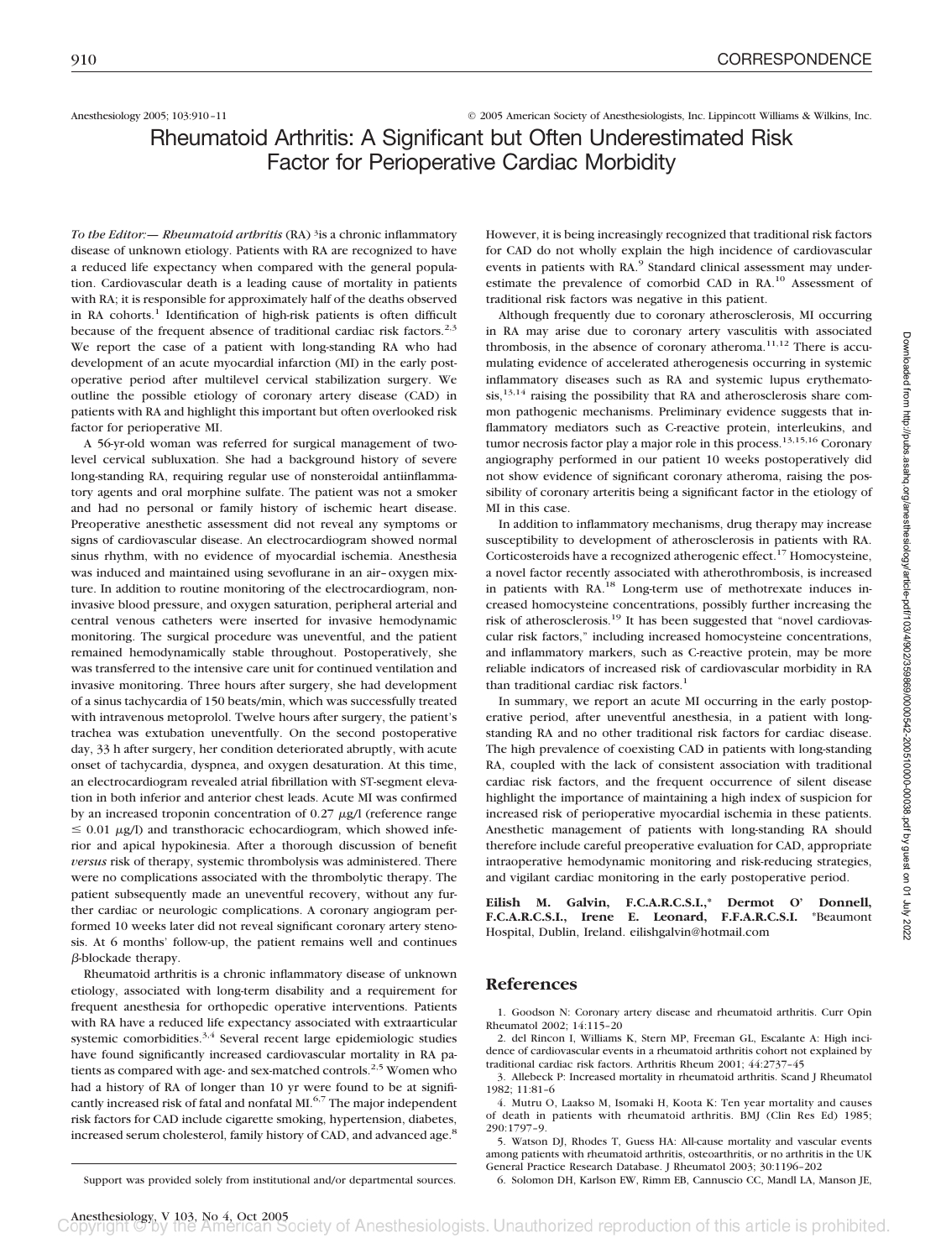Anesthesiology 2005; 103:910 –11 © 2005 American Society of Anesthesiologists, Inc. Lippincott Williams & Wilkins, Inc.

## Rheumatoid Arthritis: A Significant but Often Underestimated Risk Factor for Perioperative Cardiac Morbidity

*To the Editor:— Rheumatoid arthritis* (RA) 3is a chronic inflammatory disease of unknown etiology. Patients with RA are recognized to have a reduced life expectancy when compared with the general population. Cardiovascular death is a leading cause of mortality in patients with RA; it is responsible for approximately half of the deaths observed in RA cohorts.<sup>1</sup> Identification of high-risk patients is often difficult because of the frequent absence of traditional cardiac risk factors.<sup>2,3</sup> We report the case of a patient with long-standing RA who had development of an acute myocardial infarction (MI) in the early postoperative period after multilevel cervical stabilization surgery. We outline the possible etiology of coronary artery disease (CAD) in patients with RA and highlight this important but often overlooked risk factor for perioperative MI.

A 56-yr-old woman was referred for surgical management of twolevel cervical subluxation. She had a background history of severe long-standing RA, requiring regular use of nonsteroidal antiinflammatory agents and oral morphine sulfate. The patient was not a smoker and had no personal or family history of ischemic heart disease. Preoperative anesthetic assessment did not reveal any symptoms or signs of cardiovascular disease. An electrocardiogram showed normal sinus rhythm, with no evidence of myocardial ischemia. Anesthesia was induced and maintained using sevoflurane in an air– oxygen mixture. In addition to routine monitoring of the electrocardiogram, noninvasive blood pressure, and oxygen saturation, peripheral arterial and central venous catheters were inserted for invasive hemodynamic monitoring. The surgical procedure was uneventful, and the patient remained hemodynamically stable throughout. Postoperatively, she was transferred to the intensive care unit for continued ventilation and invasive monitoring. Three hours after surgery, she had development of a sinus tachycardia of 150 beats/min, which was successfully treated with intravenous metoprolol. Twelve hours after surgery, the patient's trachea was extubation uneventfully. On the second postoperative day, 33 h after surgery, her condition deteriorated abruptly, with acute onset of tachycardia, dyspnea, and oxygen desaturation. At this time, an electrocardiogram revealed atrial fibrillation with ST-segment elevation in both inferior and anterior chest leads. Acute MI was confirmed by an increased troponin concentration of  $0.27 \mu g/l$  (reference range  $\leq$  0.01  $\mu$ g/l) and transthoracic echocardiogram, which showed inferior and apical hypokinesia. After a thorough discussion of benefit *versus* risk of therapy, systemic thrombolysis was administered. There were no complications associated with the thrombolytic therapy. The patient subsequently made an uneventful recovery, without any further cardiac or neurologic complications. A coronary angiogram performed 10 weeks later did not reveal significant coronary artery stenosis. At 6 months' follow-up, the patient remains well and continues -blockade therapy.

Rheumatoid arthritis is a chronic inflammatory disease of unknown etiology, associated with long-term disability and a requirement for frequent anesthesia for orthopedic operative interventions. Patients with RA have a reduced life expectancy associated with extraarticular systemic comorbidities.<sup>3,4</sup> Several recent large epidemiologic studies have found significantly increased cardiovascular mortality in RA patients as compared with age- and sex-matched controls.<sup>2,5</sup> Women who had a history of RA of longer than 10 yr were found to be at significantly increased risk of fatal and nonfatal MI.<sup>6,7</sup> The major independent risk factors for CAD include cigarette smoking, hypertension, diabetes, increased serum cholesterol, family history of CAD, and advanced age.<sup>8</sup>

However, it is being increasingly recognized that traditional risk factors for CAD do not wholly explain the high incidence of cardiovascular events in patients with RA.<sup>9</sup> Standard clinical assessment may underestimate the prevalence of comorbid CAD in RA.10 Assessment of traditional risk factors was negative in this patient.

Although frequently due to coronary atherosclerosis, MI occurring in RA may arise due to coronary artery vasculitis with associated thrombosis, in the absence of coronary atheroma.<sup>11,12</sup> There is accumulating evidence of accelerated atherogenesis occurring in systemic inflammatory diseases such as RA and systemic lupus erythemato $sis$ <sup>13,14</sup> raising the possibility that RA and atherosclerosis share common pathogenic mechanisms. Preliminary evidence suggests that inflammatory mediators such as C-reactive protein, interleukins, and tumor necrosis factor play a major role in this process.<sup>13,15,16</sup> Coronary angiography performed in our patient 10 weeks postoperatively did not show evidence of significant coronary atheroma, raising the possibility of coronary arteritis being a significant factor in the etiology of MI in this case.

In addition to inflammatory mechanisms, drug therapy may increase susceptibility to development of atherosclerosis in patients with RA. Corticosteroids have a recognized atherogenic effect.<sup>17</sup> Homocysteine, a novel factor recently associated with atherothrombosis, is increased in patients with RA.18 Long-term use of methotrexate induces increased homocysteine concentrations, possibly further increasing the risk of atherosclerosis.<sup>19</sup> It has been suggested that "novel cardiovascular risk factors," including increased homocysteine concentrations, and inflammatory markers, such as C-reactive protein, may be more reliable indicators of increased risk of cardiovascular morbidity in RA than traditional cardiac risk factors.<sup>1</sup>

In summary, we report an acute MI occurring in the early postoperative period, after uneventful anesthesia, in a patient with longstanding RA and no other traditional risk factors for cardiac disease. The high prevalence of coexisting CAD in patients with long-standing RA, coupled with the lack of consistent association with traditional cardiac risk factors, and the frequent occurrence of silent disease highlight the importance of maintaining a high index of suspicion for increased risk of perioperative myocardial ischemia in these patients. Anesthetic management of patients with long-standing RA should therefore include careful preoperative evaluation for CAD, appropriate intraoperative hemodynamic monitoring and risk-reducing strategies, and vigilant cardiac monitoring in the early postoperative period.

**Eilish M. Galvin, F.C.A.R.C.S.I.,\* Dermot O' Donnell, F.C.A.R.C.S.I., Irene E. Leonard, F.F.A.R.C.S.I.** \*Beaumont Hospital, Dublin, Ireland. eilishgalvin@hotmail.com

#### **References**

1. Goodson N: Coronary artery disease and rheumatoid arthritis. Curr Opin Rheumatol 2002; 14:115–20

2. del Rincon I, Williams K, Stern MP, Freeman GL, Escalante A: High incidence of cardiovascular events in a rheumatoid arthritis cohort not explained by traditional cardiac risk factors. Arthritis Rheum 2001; 44:2737–45

3. Allebeck P: Increased mortality in rheumatoid arthritis. Scand J Rheumatol 1982; 11:81–6

4. Mutru O, Laakso M, Isomaki H, Koota K: Ten year mortality and causes of death in patients with rheumatoid arthritis. BMJ (Clin Res Ed) 1985; 290:1797–9.

5. Watson DJ, Rhodes T, Guess HA: All-cause mortality and vascular events among patients with rheumatoid arthritis, osteoarthritis, or no arthritis in the UK General Practice Research Database. J Rheumatol 2003; 30:1196–202

Support was provided solely from institutional and/or departmental sources. 6. Solomon DH, Karlson EW, Rimm EB, Cannuscio CC, Mandl LA, Manson JE,

Anesthesiology, V 103, No 4, Oct 2005<br>Jopyright © by the American Society of Anesthesiologists. Unauthorized reproduction of this article is prohibited.